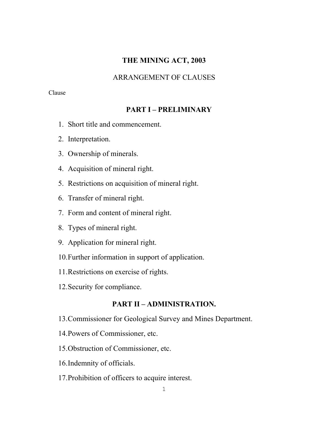# **THE MINING ACT, 2003**

# ARRANGEMENT OF CLAUSES

# Clause

# **PART I – PRELIMINARY**

- 1. Short title and commencement.
- 2. Interpretation.
- 3. Ownership of minerals.
- 4. Acquisition of mineral right.
- 5. Restrictions on acquisition of mineral right.
- 6. Transfer of mineral right.
- 7. Form and content of mineral right.
- 8. Types of mineral right.
- 9. Application for mineral right.
- 10.Further information in support of application.
- 11.Restrictions on exercise of rights.
- 12.Security for compliance.

# **PART II – ADMINISTRATION.**

- 13.Commissioner for Geological Survey and Mines Department.
- 14.Powers of Commissioner, etc.
- 15.Obstruction of Commissioner, etc.
- 16.Indemnity of officials.
- 17.Prohibition of officers to acquire interest.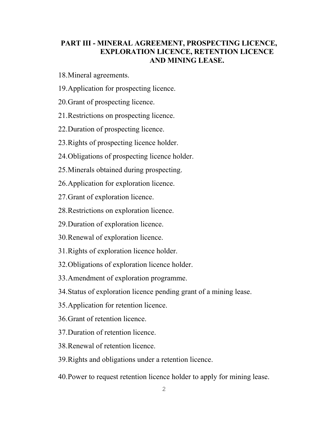# **PART III - MINERAL AGREEMENT, PROSPECTING LICENCE, EXPLORATION LICENCE, RETENTION LICENCE AND MINING LEASE.**

- 18.Mineral agreements.
- 19.Application for prospecting licence.
- 20.Grant of prospecting licence.
- 21.Restrictions on prospecting licence.
- 22.Duration of prospecting licence.
- 23.Rights of prospecting licence holder.
- 24.Obligations of prospecting licence holder.
- 25.Minerals obtained during prospecting.
- 26.Application for exploration licence.
- 27.Grant of exploration licence.
- 28.Restrictions on exploration licence.
- 29.Duration of exploration licence.
- 30.Renewal of exploration licence.
- 31.Rights of exploration licence holder.
- 32.Obligations of exploration licence holder.
- 33.Amendment of exploration programme.
- 34.Status of exploration licence pending grant of a mining lease.
- 35.Application for retention licence.
- 36.Grant of retention licence.
- 37.Duration of retention licence.
- 38.Renewal of retention licence.
- 39.Rights and obligations under a retention licence.
- 40.Power to request retention licence holder to apply for mining lease.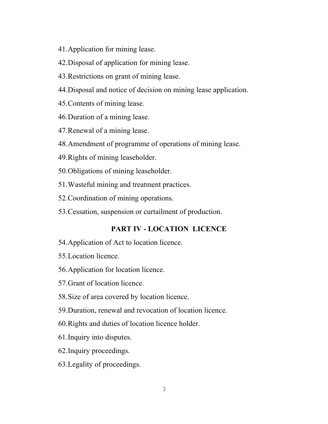- 41.Application for mining lease.
- 42.Disposal of application for mining lease.
- 43.Restrictions on grant of mining lease.
- 44.Disposal and notice of decision on mining lease application.
- 45.Contents of mining lease.
- 46.Duration of a mining lease.
- 47.Renewal of a mining lease.
- 48.Amendment of programme of operations of mining lease.
- 49.Rights of mining leaseholder.
- 50.Obligations of mining leaseholder.
- 51.Wasteful mining and treatment practices.
- 52.Coordination of mining operations.
- 53.Cessation, suspension or curtailment of production.

# **PART IV - LOCATION LICENCE**

- 54.Application of Act to location licence.
- 55.Location licence.
- 56.Application for location licence.
- 57.Grant of location licence.
- 58.Size of area covered by location licence.
- 59.Duration, renewal and revocation of location licence.
- 60.Rights and duties of location licence holder.
- 61.Inquiry into disputes.
- 62.Inquiry proceedings.
- 63.Legality of proceedings.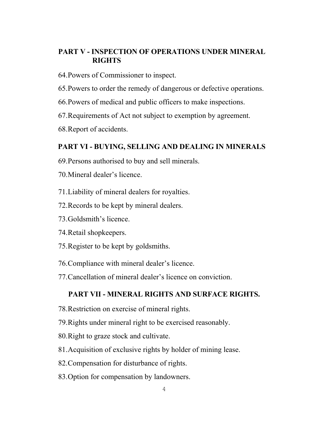# **PART V - INSPECTION OF OPERATIONS UNDER MINERAL RIGHTS**

- 64.Powers of Commissioner to inspect.
- 65.Powers to order the remedy of dangerous or defective operations.
- 66.Powers of medical and public officers to make inspections.
- 67.Requirements of Act not subject to exemption by agreement.
- 68.Report of accidents.

# **PART VI - BUYING, SELLING AND DEALING IN MINERALS**

- 69.Persons authorised to buy and sell minerals.
- 70.Mineral dealer's licence.
- 71.Liability of mineral dealers for royalties.
- 72.Records to be kept by mineral dealers.
- 73.Goldsmith's licence.
- 74.Retail shopkeepers.
- 75.Register to be kept by goldsmiths.
- 76.Compliance with mineral dealer's licence.
- 77.Cancellation of mineral dealer's licence on conviction.

# **PART VII - MINERAL RIGHTS AND SURFACE RIGHTS.**

- 78.Restriction on exercise of mineral rights.
- 79.Rights under mineral right to be exercised reasonably.
- 80.Right to graze stock and cultivate.
- 81.Acquisition of exclusive rights by holder of mining lease.
- 82.Compensation for disturbance of rights.
- 83.Option for compensation by landowners.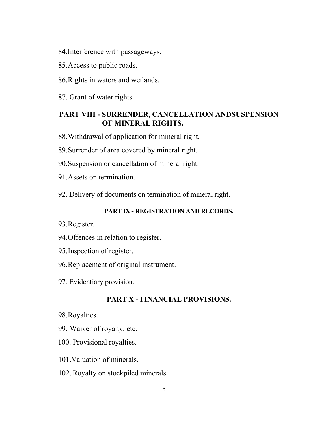84.Interference with passageways.

- 85.Access to public roads.
- 86.Rights in waters and wetlands.
- 87. Grant of water rights.

# **PART VIII - SURRENDER, CANCELLATION ANDSUSPENSION OF MINERAL RIGHTS.**

88.Withdrawal of application for mineral right.

- 89.Surrender of area covered by mineral right.
- 90.Suspension or cancellation of mineral right.
- 91.Assets on termination.
- 92. Delivery of documents on termination of mineral right.

# **PART IX - REGISTRATION AND RECORDS.**

- 93.Register.
- 94.Offences in relation to register.
- 95.Inspection of register.
- 96.Replacement of original instrument.
- 97. Evidentiary provision.

# **PART X - FINANCIAL PROVISIONS.**

- 98.Royalties.
- 99. Waiver of royalty, etc.
- 100. Provisional royalties.
- 101.Valuation of minerals.
- 102. Royalty on stockpiled minerals.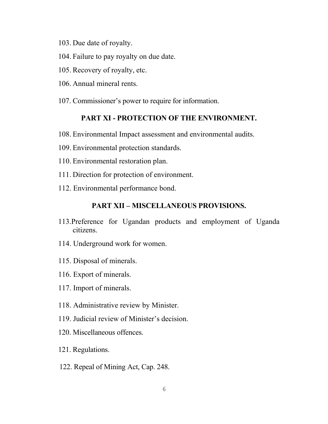- 103. Due date of royalty.
- 104. Failure to pay royalty on due date.
- 105. Recovery of royalty, etc.
- 106. Annual mineral rents.
- 107. Commissioner's power to require for information.

# **PART XI - PROTECTION OF THE ENVIRONMENT.**

- 108. Environmental Impact assessment and environmental audits.
- 109. Environmental protection standards.
- 110. Environmental restoration plan.
- 111. Direction for protection of environment.
- 112. Environmental performance bond.

# **PART XII – MISCELLANEOUS PROVISIONS.**

- 113.Preference for Ugandan products and employment of Uganda citizens.
- 114. Underground work for women.
- 115. Disposal of minerals.
- 116. Export of minerals.
- 117. Import of minerals.
- 118. Administrative review by Minister.
- 119. Judicial review of Minister's decision.
- 120. Miscellaneous offences.
- 121. Regulations.
- 122. Repeal of Mining Act, Cap. 248.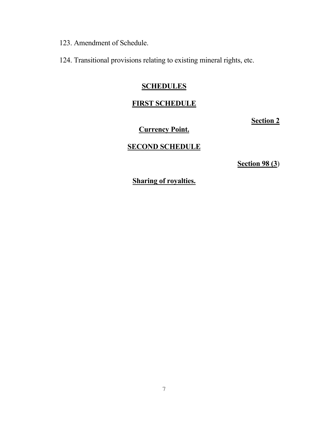123. Amendment of Schedule.

124. Transitional provisions relating to existing mineral rights, etc.

# **SCHEDULES**

# **FIRST SCHEDULE**

**Section 2**

# **Currency Point.**

# **SECOND SCHEDULE**

**Section 98 (3**)

**Sharing of royalties.**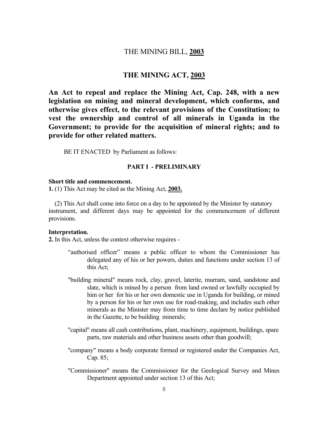# THE MINING BILL, **2003**

# **THE MINING ACT, 2003**

**An Act to repeal and replace the Mining Act, Cap. 248, with a new legislation on mining and mineral development, which conforms, and otherwise gives effect, to the relevant provisions of the Constitution; to vest the ownership and control of all minerals in Uganda in the Government; to provide for the acquisition of mineral rights; and to provide for other related matters.** 

BE IT ENACTED by Parliament as follows:

#### **PART I - PRELIMINARY**

#### **Short title and commencement.**

**1.** (1) This Act may be cited as the Mining Act, **2003.**

 (2) This Act shall come into force on a day to be appointed by the Minister by statutory instrument, and different days may be appointed for the commencement of different provisions.

#### **Interpretation.**

**2.** In this Act, unless the context otherwise requires -

- "authorised officer" means a public officer to whom the Commissioner has delegated any of his or her powers, duties and functions under section 13 of this Act;
- "building mineral" means rock, clay, gravel, laterite, murram, sand, sandstone and slate, which is mined by a person from land owned or lawfully occupied by him or her for his or her own domestic use in Uganda for building, or mined by a person for his or her own use for road-making, and includes such other minerals as the Minister may from time to time declare by notice published in the Gazette, to be building minerals;
- "capital" means all cash contributions, plant, machinery, equipment, buildings, spare parts, raw materials and other business assets other than goodwill;
- "company" means a body corporate formed or registered under the Companies Act, Cap. 85;
- "Commissioner" means the Commissioner for the Geological Survey and Mines Department appointed under section 13 of this Act;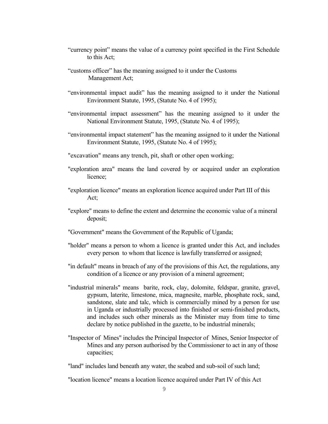- "currency point" means the value of a currency point specified in the First Schedule to this Act;
- "customs officer" has the meaning assigned to it under the Customs Management Act;
- "environmental impact audit" has the meaning assigned to it under the National Environment Statute, 1995, (Statute No. 4 of 1995);
- "environmental impact assessment" has the meaning assigned to it under the National Environment Statute, 1995, (Statute No. 4 of 1995);
- "environmental impact statement" has the meaning assigned to it under the National Environment Statute, 1995, (Statute No. 4 of 1995);
- "excavation" means any trench, pit, shaft or other open working;
- "exploration area" means the land covered by or acquired under an exploration licence;
- "exploration licence" means an exploration licence acquired under Part III of this Act;
- "explore" means to define the extent and determine the economic value of a mineral deposit;
- "Government" means the Government of the Republic of Uganda;
- "holder" means a person to whom a licence is granted under this Act, and includes every person to whom that licence is lawfully transferred or assigned;
- "in default" means in breach of any of the provisions of this Act, the regulations, any condition of a licence or any provision of a mineral agreement;
- "industrial minerals" means barite, rock, clay, dolomite, feldspar, granite, gravel, gypsum, laterite, limestone, mica, magnesite, marble, phosphate rock, sand, sandstone, slate and talc, which is commercially mined by a person for use in Uganda or industrially processed into finished or semi-finished products, and includes such other minerals as the Minister may from time to time declare by notice published in the gazette, to be industrial minerals;
- "Inspector of Mines" includes the Principal Inspector of Mines, Senior Inspector of Mines and any person authorised by the Commissioner to act in any of those capacities;

"land" includes land beneath any water, the seabed and sub-soil of such land;

"location licence" means a location licence acquired under Part IV of this Act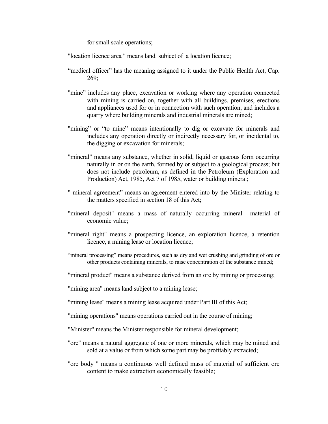for small scale operations;

"location licence area " means land subject of a location licence;

- "medical officer" has the meaning assigned to it under the Public Health Act, Cap. 269;
- "mine" includes any place, excavation or working where any operation connected with mining is carried on, together with all buildings, premises, erections and appliances used for or in connection with such operation, and includes a quarry where building minerals and industrial minerals are mined;
- "mining" or "to mine" means intentionally to dig or excavate for minerals and includes any operation directly or indirectly necessary for, or incidental to, the digging or excavation for minerals;
- "mineral" means any substance, whether in solid, liquid or gaseous form occurring naturally in or on the earth, formed by or subject to a geological process; but does not include petroleum, as defined in the Petroleum (Exploration and Production) Act, 1985, Act 7 of 1985, water or building mineral;
- " mineral agreement" means an agreement entered into by the Minister relating to the matters specified in section 18 of this Act;
- "mineral deposit" means a mass of naturally occurring mineral material of economic value;
- "mineral right" means a prospecting licence, an exploration licence, a retention licence, a mining lease or location licence;
- "mineral processing" means procedures, such as dry and wet crushing and grinding of ore or other products containing minerals, to raise concentration of the substance mined;
- "mineral product" means a substance derived from an ore by mining or processing;

"mining area" means land subject to a mining lease;

- "mining lease" means a mining lease acquired under Part III of this Act;
- "mining operations" means operations carried out in the course of mining;
- "Minister" means the Minister responsible for mineral development;
- "ore" means a natural aggregate of one or more minerals, which may be mined and sold at a value or from which some part may be profitably extracted;
- "ore body " means a continuous well defined mass of material of sufficient ore content to make extraction economically feasible;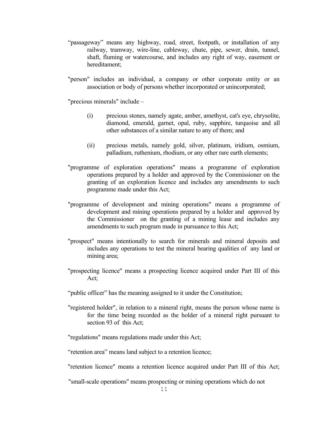- "passageway" means any highway, road, street, footpath, or installation of any railway, tramway, wire-line, cableway, chute, pipe, sewer, drain, tunnel, shaft, fluming or watercourse, and includes any right of way, easement or hereditament;
- "person" includes an individual, a company or other corporate entity or an association or body of persons whether incorporated or unincorporated;

"precious minerals" include –

- (i) precious stones, namely agate, amber, amethyst, cat's eye, chrysolite, diamond, emerald, garnet, opal, ruby, sapphire, turquoise and all other substances of a similar nature to any of them; and
- (ii) precious metals, namely gold, silver, platinum, iridium, osmium, palladium, ruthenium, rhodium, or any other rare earth elements;
- "programme of exploration operations" means a programme of exploration operations prepared by a holder and approved by the Commissioner on the granting of an exploration licence and includes any amendments to such programme made under this Act;
- "programme of development and mining operations" means a programme of development and mining operations prepared by a holder and approved by the Commissioner on the granting of a mining lease and includes any amendments to such program made in pursuance to this Act;
- "prospect" means intentionally to search for minerals and mineral deposits and includes any operations to test the mineral bearing qualities of any land or mining area;
- "prospecting licence" means a prospecting licence acquired under Part III of this Act;
- "public officer" has the meaning assigned to it under the Constitution;
- "registered holder", in relation to a mineral right, means the person whose name is for the time being recorded as the holder of a mineral right pursuant to section 93 of this Act;

"regulations" means regulations made under this Act;

"retention area" means land subject to a retention licence;

"retention licence" means a retention licence acquired under Part III of this Act;

"small-scale operations" means prospecting or mining operations which do not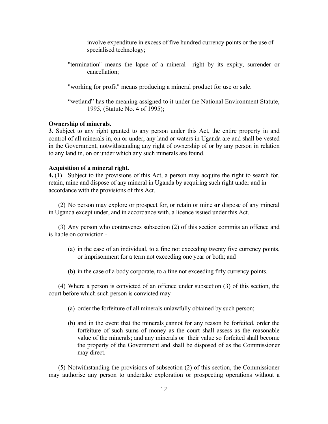involve expenditure in excess of five hundred currency points or the use of specialised technology;

 "termination" means the lapse of a mineral right by its expiry, surrender or cancellation;

"working for profit" means producing a mineral product for use or sale.

 "wetland" has the meaning assigned to it under the National Environment Statute, 1995, (Statute No. 4 of 1995);

#### **Ownership of minerals.**

**3.** Subject to any right granted to any person under this Act, the entire property in and control of all minerals in, on or under, any land or waters in Uganda are and shall be vested in the Government, notwithstanding any right of ownership of or by any person in relation to any land in, on or under which any such minerals are found.

# **Acquisition of a mineral right.**

**4.** (1) Subject to the provisions of this Act, a person may acquire the right to search for, retain, mine and dispose of any mineral in Uganda by acquiring such right under and in accordance with the provisions of this Act.

(2) No person may explore or prospect for, or retain or mine **or** dispose of any mineral in Uganda except under, and in accordance with, a licence issued under this Act.

(3) Any person who contravenes subsection (2) of this section commits an offence and is liable on conviction -

- (a) in the case of an individual, to a fine not exceeding twenty five currency points, or imprisonment for a term not exceeding one year or both; and
- (b) in the case of a body corporate, to a fine not exceeding fifty currency points.

(4) Where a person is convicted of an offence under subsection (3) of this section, the court before which such person is convicted may –

- (a) order the forfeiture of all minerals unlawfully obtained by such person;
- (b) and in the event that the minerals cannot for any reason be forfeited, order the forfeiture of such sums of money as the court shall assess as the reasonable value of the minerals; and any minerals or their value so forfeited shall become the property of the Government and shall be disposed of as the Commissioner may direct.

(5) Notwithstanding the provisions of subsection (2) of this section, the Commissioner may authorise any person to undertake exploration or prospecting operations without a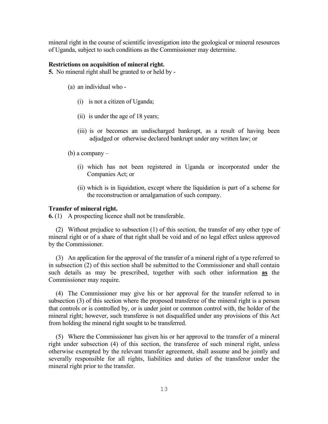mineral right in the course of scientific investigation into the geological or mineral resources of Uganda, subject to such conditions as the Commissioner may determine.

#### **Restrictions on acquisition of mineral right.**

**5.** No mineral right shall be granted to or held by -

- (a) an individual who
	- (i) is not a citizen of Uganda;
	- (ii) is under the age of 18 years;
	- (iii) is or becomes an undischarged bankrupt, as a result of having been adjudged or otherwise declared bankrupt under any written law; or
- (b) a company
	- (i) which has not been registered in Uganda or incorporated under the Companies Act; or
	- (ii) which is in liquidation, except where the liquidation is part of a scheme for the reconstruction or amalgamation of such company.

#### **Transfer of mineral right.**

**6.** (1) A prospecting licence shall not be transferable.

(2) Without prejudice to subsection (1) of this section, the transfer of any other type of mineral right or of a share of that right shall be void and of no legal effect unless approved by the Commissioner.

(3) An application for the approval of the transfer of a mineral right of a type referred to in subsection (2) of this section shall be submitted to the Commissioner and shall contain such details as may be prescribed, together with such other information **as** the Commissioner may require.

(4) The Commissioner may give his or her approval for the transfer referred to in subsection (3) of this section where the proposed transferee of the mineral right is a person that controls or is controlled by, or is under joint or common control with, the holder of the mineral right; however, such transferee is not disqualified under any provisions of this Act from holding the mineral right sought to be transferred.

(5) Where the Commissioner has given his or her approval to the transfer of a mineral right under subsection (4) of this section, the transferee of such mineral right, unless otherwise exempted by the relevant transfer agreement, shall assume and be jointly and severally responsible for all rights, liabilities and duties of the transferor under the mineral right prior to the transfer.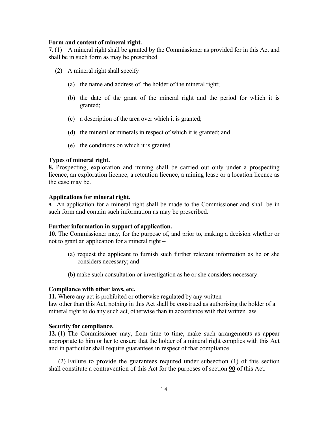#### **Form and content of mineral right.**

**7.** (1) A mineral right shall be granted by the Commissioner as provided for in this Act and shall be in such form as may be prescribed.

- (2) A mineral right shall specify
	- (a) the name and address of the holder of the mineral right;
	- (b) the date of the grant of the mineral right and the period for which it is granted;
	- (c) a description of the area over which it is granted;
	- (d) the mineral or minerals in respect of which it is granted; and
	- (e) the conditions on which it is granted.

## **Types of mineral right.**

**8.** Prospecting, exploration and mining shall be carried out only under a prospecting licence, an exploration licence, a retention licence, a mining lease or a location licence as the case may be.

#### **Applications for mineral right.**

**9.** An application for a mineral right shall be made to the Commissioner and shall be in such form and contain such information as may be prescribed.

#### **Further information in support of application.**

**10.** The Commissioner may, for the purpose of, and prior to, making a decision whether or not to grant an application for a mineral right –

- (a) request the applicant to furnish such further relevant information as he or she considers necessary; and
- (b) make such consultation or investigation as he or she considers necessary.

#### **Compliance with other laws, etc.**

**11.** Where any act is prohibited or otherwise regulated by any written law other than this Act, nothing in this Act shall be construed as authorising the holder of a mineral right to do any such act, otherwise than in accordance with that written law.

#### **Security for compliance.**

**12.** (1) The Commissioner may, from time to time, make such arrangements as appear appropriate to him or her to ensure that the holder of a mineral right complies with this Act and in particular shall require guarantees in respect of that compliance.

(2) Failure to provide the guarantees required under subsection (1) of this section shall constitute a contravention of this Act for the purposes of section **90** of this Act.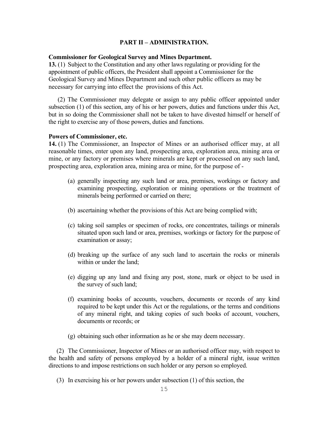#### **PART II – ADMINISTRATION.**

#### **Commissioner for Geological Survey and Mines Department.**

**13.** (1) Subject to the Constitution and any other laws regulating or providing for the appointment of public officers, the President shall appoint a Commissioner for the Geological Survey and Mines Department and such other public officers as may be necessary for carrying into effect the provisions of this Act.

 (2) The Commissioner may delegate or assign to any public officer appointed under subsection (1) of this section, any of his or her powers, duties and functions under this Act, but in so doing the Commissioner shall not be taken to have divested himself or herself of the right to exercise any of those powers, duties and functions.

#### **Powers of Commissioner, etc.**

**14.** (1) The Commissioner, an Inspector of Mines or an authorised officer may, at all reasonable times, enter upon any land, prospecting area, exploration area, mining area or mine, or any factory or premises where minerals are kept or processed on any such land, prospecting area, exploration area, mining area or mine, for the purpose of -

- (a) generally inspecting any such land or area, premises, workings or factory and examining prospecting, exploration or mining operations or the treatment of minerals being performed or carried on there;
- (b) ascertaining whether the provisions of this Act are being complied with;
- (c) taking soil samples or specimen of rocks, ore concentrates, tailings or minerals situated upon such land or area, premises, workings or factory for the purpose of examination or assay;
- (d) breaking up the surface of any such land to ascertain the rocks or minerals within or under the land;
- (e) digging up any land and fixing any post, stone, mark or object to be used in the survey of such land;
- (f) examining books of accounts, vouchers, documents or records of any kind required to be kept under this Act or the regulations, or the terms and conditions of any mineral right, and taking copies of such books of account, vouchers, documents or records; or
- (g) obtaining such other information as he or she may deem necessary.

(2) The Commissioner, Inspector of Mines or an authorised officer may, with respect to the health and safety of persons employed by a holder of a mineral right, issue written directions to and impose restrictions on such holder or any person so employed.

(3) In exercising his or her powers under subsection (1) of this section, the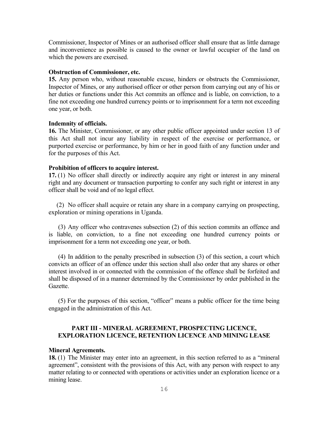Commissioner, Inspector of Mines or an authorised officer shall ensure that as little damage and inconvenience as possible is caused to the owner or lawful occupier of the land on which the powers are exercised.

#### **Obstruction of Commissioner, etc.**

**15.** Any person who, without reasonable excuse, hinders or obstructs the Commissioner, Inspector of Mines, or any authorised officer or other person from carrying out any of his or her duties or functions under this Act commits an offence and is liable, on conviction, to a fine not exceeding one hundred currency points or to imprisonment for a term not exceeding one year, or both.

#### **Indemnity of officials.**

**16.** The Minister, Commissioner, or any other public officer appointed under section 13 of this Act shall not incur any liability in respect of the exercise or performance, or purported exercise or performance, by him or her in good faith of any function under and for the purposes of this Act.

#### **Prohibition of officers to acquire interest.**

**17.** (1) No officer shall directly or indirectly acquire any right or interest in any mineral right and any document or transaction purporting to confer any such right or interest in any officer shall be void and of no legal effect.

(2) No officer shall acquire or retain any share in a company carrying on prospecting, exploration or mining operations in Uganda.

(3) Any officer who contravenes subsection (2) of this section commits an offence and is liable, on conviction, to a fine not exceeding one hundred currency points or imprisonment for a term not exceeding one year, or both.

(4) In addition to the penalty prescribed in subsection (3) of this section, a court which convicts an officer of an offence under this section shall also order that any shares or other interest involved in or connected with the commission of the offence shall be forfeited and shall be disposed of in a manner determined by the Commissioner by order published in the Gazette.

(5) For the purposes of this section, "officer" means a public officer for the time being engaged in the administration of this Act.

# **PART III - MINERAL AGREEMENT, PROSPECTING LICENCE, EXPLORATION LICENCE, RETENTION LICENCE AND MINING LEASE**

# **Mineral Agreements.**

**18.** (1) The Minister may enter into an agreement, in this section referred to as a "mineral agreement", consistent with the provisions of this Act, with any person with respect to any matter relating to or connected with operations or activities under an exploration licence or a mining lease.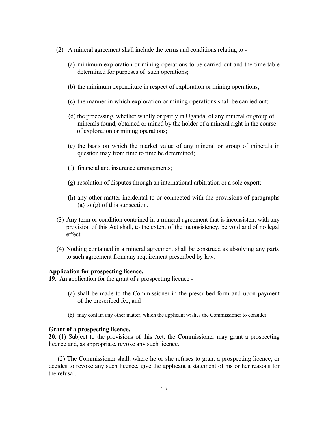- (2) A mineral agreement shall include the terms and conditions relating to
	- (a) minimum exploration or mining operations to be carried out and the time table determined for purposes of such operations;
	- (b) the minimum expenditure in respect of exploration or mining operations;
	- (c) the manner in which exploration or mining operations shall be carried out;
	- (d) the processing, whether wholly or partly in Uganda, of any mineral or group of minerals found, obtained or mined by the holder of a mineral right in the course of exploration or mining operations;
	- (e) the basis on which the market value of any mineral or group of minerals in question may from time to time be determined;
	- (f) financial and insurance arrangements;
	- (g) resolution of disputes through an international arbitration or a sole expert;
	- (h) any other matter incidental to or connected with the provisions of paragraphs (a) to (g) of this subsection.
- (3) Any term or condition contained in a mineral agreement that is inconsistent with any provision of this Act shall, to the extent of the inconsistency, be void and of no legal effect.
- (4) Nothing contained in a mineral agreement shall be construed as absolving any party to such agreement from any requirement prescribed by law.

## **Application for prospecting licence.**

**19.** An application for the grant of a prospecting licence -

- (a) shall be made to the Commissioner in the prescribed form and upon payment of the prescribed fee; and
- (b) may contain any other matter, which the applicant wishes the Commissioner to consider.

#### **Grant of a prospecting licence.**

**20.** (1) Subject to the provisions of this Act, the Commissioner may grant a prospecting licence and, as appropriate**,** revoke any such licence.

(2) The Commissioner shall, where he or she refuses to grant a prospecting licence, or decides to revoke any such licence, give the applicant a statement of his or her reasons for the refusal.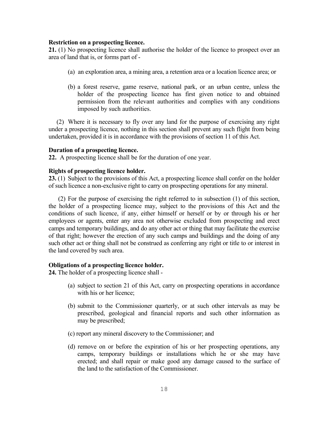#### **Restriction on a prospecting licence.**

**21.** (1) No prospecting licence shall authorise the holder of the licence to prospect over an area of land that is, or forms part of -

- (a) an exploration area, a mining area, a retention area or a location licence area; or
- (b) a forest reserve, game reserve, national park, or an urban centre, unless the holder of the prospecting licence has first given notice to and obtained permission from the relevant authorities and complies with any conditions imposed by such authorities.

(2) Where it is necessary to fly over any land for the purpose of exercising any right under a prospecting licence, nothing in this section shall prevent any such flight from being undertaken, provided it is in accordance with the provisions of section 11 of this Act.

## **Duration of a prospecting licence.**

**22.** A prospecting licence shall be for the duration of one year.

# **Rights of prospecting licence holder.**

**23.** (1) Subject to the provisions of this Act, a prospecting licence shall confer on the holder of such licence a non-exclusive right to carry on prospecting operations for any mineral.

(2) For the purpose of exercising the right referred to in subsection (1) of this section, the holder of a prospecting licence may, subject to the provisions of this Act and the conditions of such licence, if any, either himself or herself or by or through his or her employees or agents, enter any area not otherwise excluded from prospecting and erect camps and temporary buildings, and do any other act or thing that may facilitate the exercise of that right; however the erection of any such camps and buildings and the doing of any such other act or thing shall not be construed as conferring any right or title to or interest in the land covered by such area.

#### **Obligations of a prospecting licence holder.**

**24.** The holder of a prospecting licence shall -

- (a) subject to section 21 of this Act, carry on prospecting operations in accordance with his or her licence;
- (b) submit to the Commissioner quarterly, or at such other intervals as may be prescribed, geological and financial reports and such other information as may be prescribed;
- (c) report any mineral discovery to the Commissioner; and
- (d) remove on or before the expiration of his or her prospecting operations, any camps, temporary buildings or installations which he or she may have erected; and shall repair or make good any damage caused to the surface of the land to the satisfaction of the Commissioner.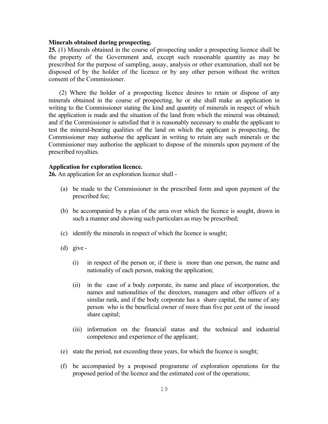#### **Minerals obtained during prospecting.**

**25.** (1) Minerals obtained in the course of prospecting under a prospecting licence shall be the property of the Government and, except such reasonable quantity as may be prescribed for the purpose of sampling, assay, analysis or other examination, shall not be disposed of by the holder of the licence or by any other person without the written consent of the Commissioner.

 (2) Where the holder of a prospecting licence desires to retain or dispose of any minerals obtained in the course of prospecting, he or she shall make an application in writing to the Commissioner stating the kind and quantity of minerals in respect of which the application is made and the situation of the land from which the mineral was obtained; and if the Commissioner is satisfied that it is reasonably necessary to enable the applicant to test the mineral-bearing qualities of the land on which the applicant is prospecting, the Commissioner may authorise the applicant in writing to retain any such minerals or the Commissioner may authorise the applicant to dispose of the minerals upon payment of the prescribed royalties.

#### **Application for exploration licence.**

**26.** An application for an exploration licence shall -

- (a) be made to the Commissioner in the prescribed form and upon payment of the prescribed fee;
- (b) be accompanied by a plan of the area over which the licence is sought, drawn in such a manner and showing such particulars as may be prescribed;
- (c) identify the minerals in respect of which the licence is sought;
- (d) give
	- (i) in respect of the person or, if there is more than one person, the name and nationality of each person, making the application;
	- (ii) in the case of a body corporate, its name and place of incorporation, the names and nationalities of the directors, managers and other officers of a similar rank, and if the body corporate has a share capital, the name of any person who is the beneficial owner of more than five per cent of the issued share capital;
	- (iii) information on the financial status and the technical and industrial competence and experience of the applicant;
- (e) state the period, not exceeding three years, for which the licence is sought;
- (f) be accompanied by a proposed programme of exploration operations for the proposed period of the licence and the estimated cost of the operations;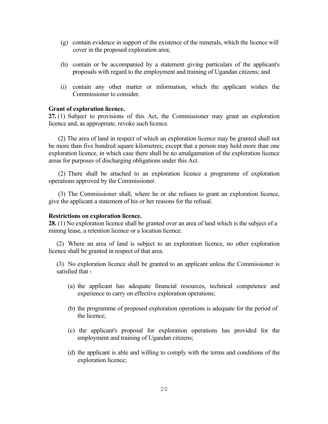- (g) contain evidence in support of the existence of the minerals, which the licence will cover in the proposed exploration area;
- (h) contain or be accompanied by a statement giving particulars of the applicant's proposals with regard to the employment and training of Ugandan citizens; and
- (i) contain any other matter or information, which the applicant wishes the Commissioner to consider.

## **Grant of exploration licence.**

**27.** (1) Subject to provisions of this Act, the Commissioner may grant an exploration licence and, as appropriate, revoke such licence.

 (2) The area of land in respect of which an exploration licence may be granted shall not be more than five hundred square kilometres; except that a person may hold more than one exploration licence, in which case there shall be no amalgamation of the exploration licence areas for purposes of discharging obligations under this Act.

(2) There shall be attached to an exploration licence a programme of exploration operations approved by the Commissioner.

(3) The Commissioner shall, where he or she refuses to grant an exploration licence, give the applicant a statement of his or her reasons for the refusal.

#### **Restrictions on exploration licence.**

**28.** (1) No exploration licence shall be granted over an area of land which is the subject of a mining lease, a retention licence or a location licence.

(2) Where an area of land is subject to an exploration licence, no other exploration licence shall be granted in respect of that area.

(3) No exploration licence shall be granted to an applicant unless the Commissioner is satisfied that -

- (a) the applicant has adequate financial resources, technical competence and experience to carry on effective exploration operations;
- (b) the programme of proposed exploration operations is adequate for the period of the licence;
- (c) the applicant's proposal for exploration operations has provided for the employment and training of Ugandan citizens;
- (d) the applicant is able and willing to comply with the terms and conditions of the exploration licence;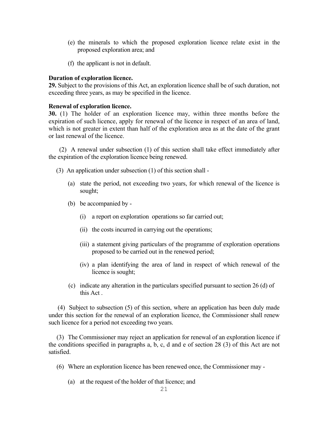- (e) the minerals to which the proposed exploration licence relate exist in the proposed exploration area; and
- (f) the applicant is not in default.

# **Duration of exploration licence.**

**29.** Subject to the provisions of this Act, an exploration licence shall be of such duration, not exceeding three years, as may be specified in the licence.

# **Renewal of exploration licence.**

**30.** (1) The holder of an exploration licence may, within three months before the expiration of such licence, apply for renewal of the licence in respect of an area of land, which is not greater in extent than half of the exploration area as at the date of the grant or last renewal of the licence.

 (2) A renewal under subsection (1) of this section shall take effect immediately after the expiration of the exploration licence being renewed.

- (3) An application under subsection (1) of this section shall
	- (a) state the period, not exceeding two years, for which renewal of the licence is sought;
	- (b) be accompanied by
		- (i) a report on exploration operations so far carried out;
		- (ii) the costs incurred in carrying out the operations;
		- (iii) a statement giving particulars of the programme of exploration operations proposed to be carried out in the renewed period;
		- (iv) a plan identifying the area of land in respect of which renewal of the licence is sought;
	- (c) indicate any alteration in the particulars specified pursuant to section 26 (d) of this Act .

 (4) Subject to subsection (5) of this section, where an application has been duly made under this section for the renewal of an exploration licence, the Commissioner shall renew such licence for a period not exceeding two years.

(3) The Commissioner may reject an application for renewal of an exploration licence if the conditions specified in paragraphs a, b, c, d and e of section 28 (3) of this Act are not satisfied.

- (6) Where an exploration licence has been renewed once, the Commissioner may
	- (a) at the request of the holder of that licence; and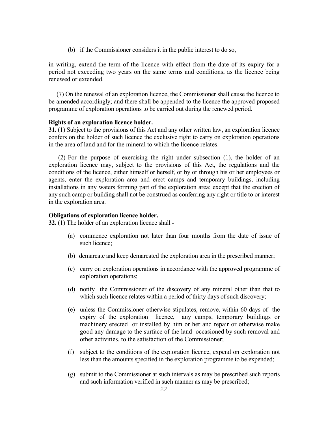(b) if the Commissioner considers it in the public interest to do so,

in writing, extend the term of the licence with effect from the date of its expiry for a period not exceeding two years on the same terms and conditions, as the licence being renewed or extended.

(7) On the renewal of an exploration licence, the Commissioner shall cause the licence to be amended accordingly; and there shall be appended to the licence the approved proposed programme of exploration operations to be carried out during the renewed period.

#### **Rights of an exploration licence holder.**

**31.** (1) Subject to the provisions of this Act and any other written law, an exploration licence confers on the holder of such licence the exclusive right to carry on exploration operations in the area of land and for the mineral to which the licence relates.

(2) For the purpose of exercising the right under subsection (1), the holder of an exploration licence may, subject to the provisions of this Act, the regulations and the conditions of the licence, either himself or herself, or by or through his or her employees or agents, enter the exploration area and erect camps and temporary buildings, including installations in any waters forming part of the exploration area; except that the erection of any such camp or building shall not be construed as conferring any right or title to or interest in the exploration area.

#### **Obligations of exploration licence holder.**

**32.** (1) The holder of an exploration licence shall -

- (a) commence exploration not later than four months from the date of issue of such licence;
- (b) demarcate and keep demarcated the exploration area in the prescribed manner;
- (c) carry on exploration operations in accordance with the approved programme of exploration operations;
- (d) notify the Commissioner of the discovery of any mineral other than that to which such licence relates within a period of thirty days of such discovery;
- (e) unless the Commissioner otherwise stipulates, remove, within 60 days of the expiry of the exploration licence, any camps, temporary buildings or machinery erected or installed by him or her and repair or otherwise make good any damage to the surface of the land occasioned by such removal and other activities, to the satisfaction of the Commissioner;
- (f) subject to the conditions of the exploration licence, expend on exploration not less than the amounts specified in the exploration programme to be expended;
- (g) submit to the Commissioner at such intervals as may be prescribed such reports and such information verified in such manner as may be prescribed;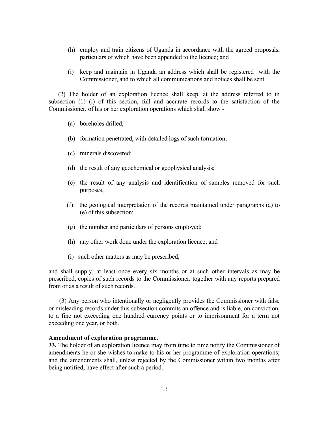- (h) employ and train citizens of Uganda in accordance with the agreed proposals, particulars of which have been appended to the licence; and
- (i) keep and maintain in Uganda an address which shall be registered with the Commissioner, and to which all communications and notices shall be sent.

(2) The holder of an exploration licence shall keep, at the address referred to in subsection (1) (i) of this section, full and accurate records to the satisfaction of the Commissioner, of his or her exploration operations which shall show -

- (a) boreholes drilled;
- (b) formation penetrated, with detailed logs of such formation;
- (c) minerals discovered;
- (d) the result of any geochemical or geophysical analysis;
- (e) the result of any analysis and identification of samples removed for such purposes;
- (f) the geological interpretation of the records maintained under paragraphs (a) to (e) of this subsection;
- (g) the number and particulars of persons employed;
- (h) any other work done under the exploration licence; and
- (i) such other matters as may be prescribed;

and shall supply, at least once every six months or at such other intervals as may be prescribed, copies of such records to the Commissioner, together with any reports prepared from or as a result of such records.

 (3) Any person who intentionally or negligently provides the Commissioner with false or misleading records under this subsection commits an offence and is liable, on conviction, to a fine not exceeding one hundred currency points or to imprisonment for a term not exceeding one year, or both.

#### **Amendment of exploration programme.**

**33.** The holder of an exploration licence may from time to time notify the Commissioner of amendments he or she wishes to make to his or her programme of exploration operations; and the amendments shall, unless rejected by the Commissioner within two months after being notified, have effect after such a period.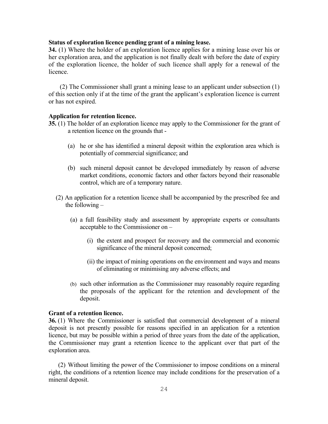## **Status of exploration licence pending grant of a mining lease.**

**34.** (1) Where the holder of an exploration licence applies for a mining lease over his or her exploration area, and the application is not finally dealt with before the date of expiry of the exploration licence, the holder of such licence shall apply for a renewal of the licence.

 (2) The Commissioner shall grant a mining lease to an applicant under subsection (1) of this section only if at the time of the grant the applicant's exploration licence is current or has not expired.

#### **Application for retention licence.**

- **35.** (1) The holder of an exploration licence may apply to the Commissioner for the grant of a retention licence on the grounds that -
	- (a) he or she has identified a mineral deposit within the exploration area which is potentially of commercial significance; and
	- (b) such mineral deposit cannot be developed immediately by reason of adverse market conditions, economic factors and other factors beyond their reasonable control, which are of a temporary nature.
	- (2) An application for a retention licence shall be accompanied by the prescribed fee and the following –
		- (a) a full feasibility study and assessment by appropriate experts or consultants acceptable to the Commissioner on –
			- (i) the extent and prospect for recovery and the commercial and economic significance of the mineral deposit concerned;
			- (ii) the impact of mining operations on the environment and ways and means of eliminating or minimising any adverse effects; and
		- (b) such other information as the Commissioner may reasonably require regarding the proposals of the applicant for the retention and development of the deposit.

#### **Grant of a retention licence.**

**36.** (1) Where the Commissioner is satisfied that commercial development of a mineral deposit is not presently possible for reasons specified in an application for a retention licence, but may be possible within a period of three years from the date of the application, the Commissioner may grant a retention licence to the applicant over that part of the exploration area.

(2) Without limiting the power of the Commissioner to impose conditions on a mineral right, the conditions of a retention licence may include conditions for the preservation of a mineral deposit.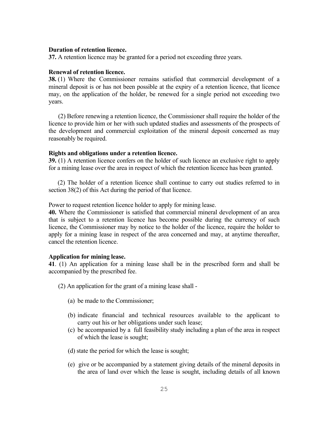## **Duration of retention licence.**

**37.** A retention licence may be granted for a period not exceeding three years.

# **Renewal of retention licence.**

**38.** (1) Where the Commissioner remains satisfied that commercial development of a mineral deposit is or has not been possible at the expiry of a retention licence, that licence may, on the application of the holder, be renewed for a single period not exceeding two years.

(2) Before renewing a retention licence, the Commissioner shall require the holder of the licence to provide him or her with such updated studies and assessments of the prospects of the development and commercial exploitation of the mineral deposit concerned as may reasonably be required.

#### **Rights and obligations under a retention licence.**

**39.** (1) A retention licence confers on the holder of such licence an exclusive right to apply for a mining lease over the area in respect of which the retention licence has been granted.

(2) The holder of a retention licence shall continue to carry out studies referred to in section 38(2) of this Act during the period of that licence.

Power to request retention licence holder to apply for mining lease.

**40.** Where the Commissioner is satisfied that commercial mineral development of an area that is subject to a retention licence has become possible during the currency of such licence, the Commissioner may by notice to the holder of the licence, require the holder to apply for a mining lease in respect of the area concerned and may, at anytime thereafter, cancel the retention licence.

#### **Application for mining lease.**

**41**. (1) An application for a mining lease shall be in the prescribed form and shall be accompanied by the prescribed fee.

(2) An application for the grant of a mining lease shall -

- (a) be made to the Commissioner;
- (b) indicate financial and technical resources available to the applicant to carry out his or her obligations under such lease;
- (c) be accompanied by a full feasibility study including a plan of the area in respect of which the lease is sought;
- (d) state the period for which the lease is sought;
- (e) give or be accompanied by a statement giving details of the mineral deposits in the area of land over which the lease is sought, including details of all known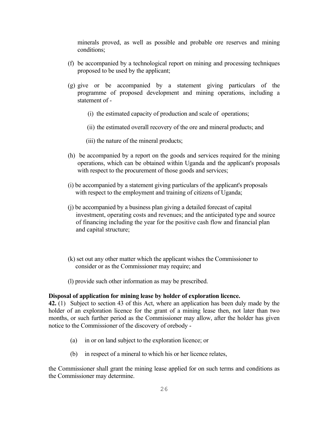minerals proved, as well as possible and probable ore reserves and mining conditions;

- (f) be accompanied by a technological report on mining and processing techniques proposed to be used by the applicant;
- (g) give or be accompanied by a statement giving particulars of the programme of proposed development and mining operations, including a statement of -
	- (i) the estimated capacity of production and scale of operations;
	- (ii) the estimated overall recovery of the ore and mineral products; and
	- (iii) the nature of the mineral products;
- (h) be accompanied by a report on the goods and services required for the mining operations, which can be obtained within Uganda and the applicant's proposals with respect to the procurement of those goods and services;
- (i) be accompanied by a statement giving particulars of the applicant's proposals with respect to the employment and training of citizens of Uganda;
- (j) be accompanied by a business plan giving a detailed forecast of capital investment, operating costs and revenues; and the anticipated type and source of financing including the year for the positive cash flow and financial plan and capital structure;
- (k) set out any other matter which the applicant wishes the Commissioner to consider or as the Commissioner may require; and
- (l) provide such other information as may be prescribed.

#### **Disposal of application for mining lease by holder of exploration licence.**

**42.** (1) Subject to section 43 of this Act, where an application has been duly made by the holder of an exploration licence for the grant of a mining lease then, not later than two months, or such further period as the Commissioner may allow, after the holder has given notice to the Commissioner of the discovery of orebody -

- (a) in or on land subject to the exploration licence; or
- (b) in respect of a mineral to which his or her licence relates,

the Commissioner shall grant the mining lease applied for on such terms and conditions as the Commissioner may determine.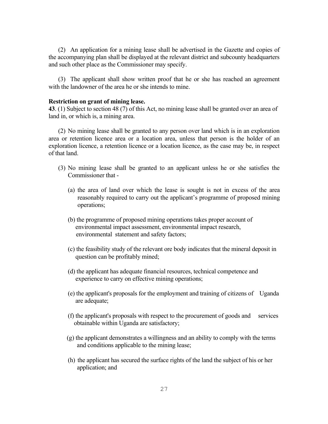(2) An application for a mining lease shall be advertised in the Gazette and copies of the accompanying plan shall be displayed at the relevant district and subcounty headquarters and such other place as the Commissioner may specify.

(3) The applicant shall show written proof that he or she has reached an agreement with the landowner of the area he or she intends to mine.

#### **Restriction on grant of mining lease.**

**43**. (1) Subject to section 48 (7) of this Act, no mining lease shall be granted over an area of land in, or which is, a mining area.

(2) No mining lease shall be granted to any person over land which is in an exploration area or retention licence area or a location area, unless that person is the holder of an exploration licence, a retention licence or a location licence, as the case may be, in respect of that land.

- (3) No mining lease shall be granted to an applicant unless he or she satisfies the Commissioner that -
	- (a) the area of land over which the lease is sought is not in excess of the area reasonably required to carry out the applicant's programme of proposed mining operations;
	- (b) the programme of proposed mining operations takes proper account of environmental impact assessment, environmental impact research, environmental statement and safety factors;
	- (c) the feasibility study of the relevant ore body indicates that the mineral deposit in question can be profitably mined;
	- (d) the applicant has adequate financial resources, technical competence and experience to carry on effective mining operations;
	- (e) the applicant's proposals for the employment and training of citizens of Uganda are adequate;
	- (f) the applicant's proposals with respect to the procurement of goods and services obtainable within Uganda are satisfactory;
	- (g) the applicant demonstrates a willingness and an ability to comply with the terms and conditions applicable to the mining lease;
	- (h) the applicant has secured the surface rights of the land the subject of his or her application; and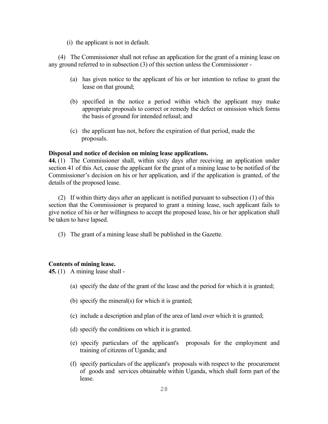(i) the applicant is not in default.

(4) The Commissioner shall not refuse an application for the grant of a mining lease on any ground referred to in subsection (3) of this section unless the Commissioner -

- (a) has given notice to the applicant of his or her intention to refuse to grant the lease on that ground;
- (b) specified in the notice a period within which the applicant may make appropriate proposals to correct or remedy the defect or omission which forms the basis of ground for intended refusal; and
- (c) the applicant has not, before the expiration of that period, made the proposals.

# **Disposal and notice of decision on mining lease applications.**

**44.** (1)The Commissioner shall, within sixty days after receiving an application under section 41 of this Act, cause the applicant for the grant of a mining lease to be notified of the Commissioner's decision on his or her application, and if the application is granted, of the details of the proposed lease.

(2) If within thirty days after an applicant is notified pursuant to subsection (1) of this section that the Commissioner is prepared to grant a mining lease, such applicant fails to give notice of his or her willingness to accept the proposed lease, his or her application shall be taken to have lapsed.

(3) The grant of a mining lease shall be published in the Gazette.

# **Contents of mining lease.**

**45.** (1) A mining lease shall -

- (a) specify the date of the grant of the lease and the period for which it is granted;
- (b) specify the mineral(s) for which it is granted;
- (c) include a description and plan of the area of land over which it is granted;
- (d) specify the conditions on which it is granted.
- (e) specify particulars of the applicant's proposals for the employment and training of citizens of Uganda; and
- (f) specify particulars of the applicant's proposals with respect to the procurement of goods and services obtainable within Uganda, which shall form part of the lease.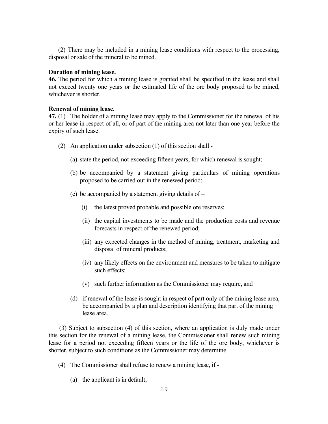(2) There may be included in a mining lease conditions with respect to the processing, disposal or sale of the mineral to be mined.

# **Duration of mining lease.**

**46.** The period for which a mining lease is granted shall be specified in the lease and shall not exceed twenty one years or the estimated life of the ore body proposed to be mined, whichever is shorter.

# **Renewal of mining lease.**

**47.** (1) The holder of a mining lease may apply to the Commissioner for the renewal of his or her lease in respect of all, or of part of the mining area not later than one year before the expiry of such lease.

- (2) An application under subsection (1) of this section shall
	- (a) state the period, not exceeding fifteen years, for which renewal is sought;
	- (b) be accompanied by a statement giving particulars of mining operations proposed to be carried out in the renewed period;
	- (c) be accompanied by a statement giving details of
		- (i) the latest proved probable and possible ore reserves;
		- (ii) the capital investments to be made and the production costs and revenue forecasts in respect of the renewed period;
		- (iii) any expected changes in the method of mining, treatment, marketing and disposal of mineral products;
		- (iv) any likely effects on the environment and measures to be taken to mitigate such effects;
		- (v) such further information as the Commissioner may require, and
	- (d) if renewal of the lease is sought in respect of part only of the mining lease area, be accompanied by a plan and description identifying that part of the mining lease area.

 (3) Subject to subsection (4) of this section, where an application is duly made under this section for the renewal of a mining lease, the Commissioner shall renew such mining lease for a period not exceeding fifteen years or the life of the ore body, whichever is shorter, subject to such conditions as the Commissioner may determine.

- (4) The Commissioner shall refuse to renew a mining lease, if
	- (a) the applicant is in default;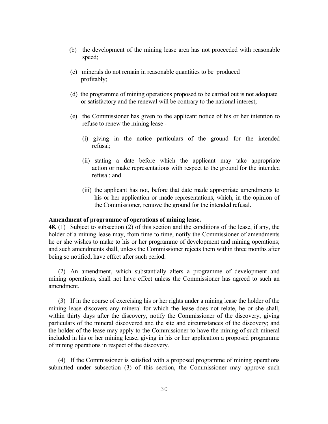- (b) the development of the mining lease area has not proceeded with reasonable speed;
- (c) minerals do not remain in reasonable quantities to be produced profitably;
- (d) the programme of mining operations proposed to be carried out is not adequate or satisfactory and the renewal will be contrary to the national interest;
- (e) the Commissioner has given to the applicant notice of his or her intention to refuse to renew the mining lease -
	- (i) giving in the notice particulars of the ground for the intended refusal;
	- (ii) stating a date before which the applicant may take appropriate action or make representations with respect to the ground for the intended refusal; and
	- (iii) the applicant has not, before that date made appropriate amendments to his or her application or made representations, which, in the opinion of the Commissioner, remove the ground for the intended refusal.

#### **Amendment of programme of operations of mining lease.**

**48.** (1) Subject to subsection (2) of this section and the conditions of the lease, if any, the holder of a mining lease may, from time to time, notify the Commissioner of amendments he or she wishes to make to his or her programme of development and mining operations; and such amendments shall, unless the Commissioner rejects them within three months after being so notified, have effect after such period.

(2) An amendment, which substantially alters a programme of development and mining operations, shall not have effect unless the Commissioner has agreed to such an amendment.

(3) If in the course of exercising his or her rights under a mining lease the holder of the mining lease discovers any mineral for which the lease does not relate, he or she shall, within thirty days after the discovery, notify the Commissioner of the discovery, giving particulars of the mineral discovered and the site and circumstances of the discovery; and the holder of the lease may apply to the Commissioner to have the mining of such mineral included in his or her mining lease, giving in his or her application a proposed programme of mining operations in respect of the discovery.

(4) If the Commissioner is satisfied with a proposed programme of mining operations submitted under subsection (3) of this section, the Commissioner may approve such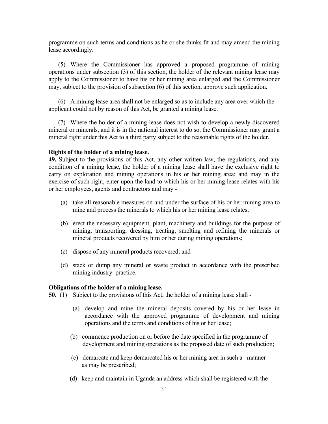programme on such terms and conditions as he or she thinks fit and may amend the mining lease accordingly.

(5) Where the Commissioner has approved a proposed programme of mining operations under subsection (3) of this section, the holder of the relevant mining lease may apply to the Commissioner to have his or her mining area enlarged and the Commissioner may, subject to the provision of subsection (6) of this section, approve such application.

(6) A mining lease area shall not be enlarged so as to include any area over which the applicant could not by reason of this Act, be granted a mining lease.

(7) Where the holder of a mining lease does not wish to develop a newly discovered mineral or minerals, and it is in the national interest to do so, the Commissioner may grant a mineral right under this Act to a third party subject to the reasonable rights of the holder.

#### **Rights of the holder of a mining lease.**

**49.** Subject to the provisions of this Act, any other written law, the regulations, and any condition of a mining lease, the holder of a mining lease shall have the exclusive right to carry on exploration and mining operations in his or her mining area; and may in the exercise of such right, enter upon the land to which his or her mining lease relates with his or her employees, agents and contractors and may -

- (a) take all reasonable measures on and under the surface of his or her mining area to mine and process the minerals to which his or her mining lease relates;
- (b) erect the necessary equipment, plant, machinery and buildings for the purpose of mining, transporting, dressing, treating, smelting and refining the minerals or mineral products recovered by him or her during mining operations;
- (c) dispose of any mineral products recovered; and
- (d) stack or dump any mineral or waste product in accordance with the prescribed mining industry practice.

#### **Obligations of the holder of a mining lease.**

**50.** (1)Subject to the provisions of this Act, the holder of a mining lease shall -

- (a) develop and mine the mineral deposits covered by his or her lease in accordance with the approved programme of development and mining operations and the terms and conditions of his or her lease;
- (b) commence production on or before the date specified in the programme of development and mining operations as the proposed date of such production;
- (c) demarcate and keep demarcated his or her mining area in such a manner as may be prescribed;
- (d) keep and maintain in Uganda an address which shall be registered with the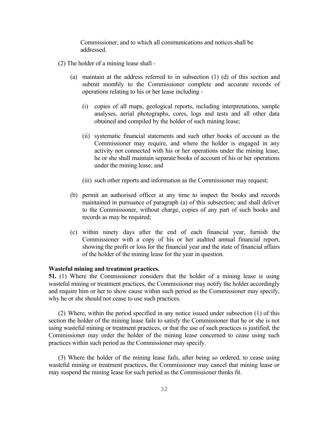Commissioner, and to which all communications and notices shall be addressed.

- (2) The holder of a mining lease shall
	- (a) maintain at the address referred to in subsection (1) (d) of this section and submit monthly to the Commissioner complete and accurate records of operations relating to his or her lease including -
		- (i) copies of all maps, geological reports, including interpretations, sample analyses, aerial photographs, cores, logs and tests and all other data obtained and compiled by the holder of such mining lease;
		- (ii) systematic financial statements and such other books of account as the Commissioner may require, and where the holder is engaged in any activity not connected with his or her operations under the mining lease, he or she shall maintain separate books of account of his or her operations under the mining lease; and
		- (iii) such other reports and information as the Commissioner may request;
	- (b) permit an authorised officer at any time to inspect the books and records maintained in pursuance of paragraph (a) of this subsection; and shall deliver to the Commissioner, without charge, copies of any part of such books and records as may be required;
	- (c) within ninety days after the end of each financial year, furnish the Commissioner with a copy of his or her audited annual financial report, showing the profit or loss for the financial year and the state of financial affairs of the holder of the mining lease for the year in question.

### **Wasteful mining and treatment practices.**

**51.** (1) Where the Commissioner considers that the holder of a mining lease is using wasteful mining or treatment practices, the Commissioner may notify the holder accordingly and require him or her to show cause within such period as the Commissioner may specify, why he or she should not cease to use such practices.

(2) Where, within the period specified in any notice issued under subsection (1) of this section the holder of the mining lease fails to satisfy the Commissioner that he or she is not using wasteful mining or treatment practices, or that the use of such practices is justified, the Commissioner may order the holder of the mining lease concerned to cease using such practices within such period as the Commissioner may specify.

(3) Where the holder of the mining lease fails, after being so ordered, to cease using wasteful mining or treatment practices, the Commissioner may cancel that mining lease or may suspend the mining lease for such period as the Commissioner thinks fit.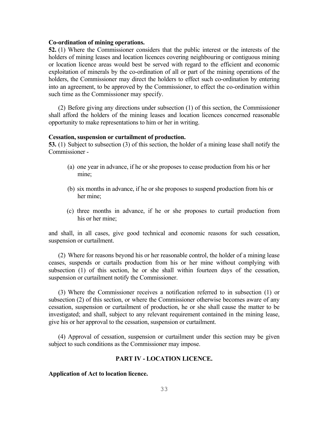#### **Co-ordination of mining operations.**

**52.** (1) Where the Commissioner considers that the public interest or the interests of the holders of mining leases and location licences covering neighbouring or contiguous mining or location licence areas would best be served with regard to the efficient and economic exploitation of minerals by the co-ordination of all or part of the mining operations of the holders, the Commissioner may direct the holders to effect such co-ordination by entering into an agreement, to be approved by the Commissioner, to effect the co-ordination within such time as the Commissioner may specify.

(2) Before giving any directions under subsection (1) of this section, the Commissioner shall afford the holders of the mining leases and location licences concerned reasonable opportunity to make representations to him or her in writing.

#### **Cessation, suspension or curtailment of production.**

**53.** (1) Subject to subsection (3) of this section, the holder of a mining lease shall notify the Commissioner -

- (a) one year in advance, if he or she proposes to cease production from his or her mine;
- (b) six months in advance, if he or she proposes to suspend production from his or her mine;
- (c) three months in advance, if he or she proposes to curtail production from his or her mine;

and shall, in all cases, give good technical and economic reasons for such cessation, suspension or curtailment.

(2) Where for reasons beyond his or her reasonable control, the holder of a mining lease ceases, suspends or curtails production from his or her mine without complying with subsection (1) of this section, he or she shall within fourteen days of the cessation, suspension or curtailment notify the Commissioner.

(3) Where the Commissioner receives a notification referred to in subsection (1) or subsection (2) of this section, or where the Commissioner otherwise becomes aware of any cessation, suspension or curtailment of production, he or she shall cause the matter to be investigated; and shall, subject to any relevant requirement contained in the mining lease, give his or her approval to the cessation, suspension or curtailment.

(4) Approval of cessation, suspension or curtailment under this section may be given subject to such conditions as the Commissioner may impose.

#### **PART IV - LOCATION LICENCE.**

#### **Application of Act to location licence.**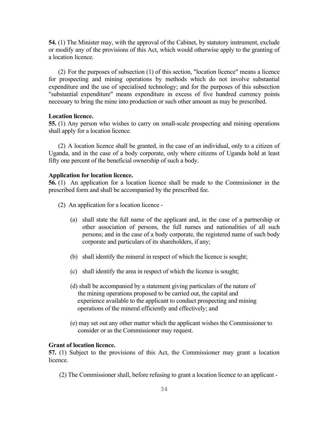**54.** (1) The Minister may, with the approval of the Cabinet, by statutory instrument, exclude or modify any of the provisions of this Act, which would otherwise apply to the granting of a location licence.

(2) For the purposes of subsection (1) of this section, "location licence" means a licence for prospecting and mining operations by methods which do not involve substantial expenditure and the use of specialised technology; and for the purposes of this subsection "substantial expenditure" means expenditure in excess of five hundred currency points necessary to bring the mine into production or such other amount as may be prescribed.

#### **Location licence.**

**55.** (1) Any person who wishes to carry on small-scale prospecting and mining operations shall apply for a location licence.

(2) A location licence shall be granted, in the case of an individual, only to a citizen of Uganda, and in the case of a body corporate, only where citizens of Uganda hold at least fifty one percent of the beneficial ownership of such a body.

#### **Application for location licence.**

**56.** (1) An application for a location licence shall be made to the Commissioner in the prescribed form and shall be accompanied by the prescribed fee.

- (2) An application for a location licence
	- (a) shall state the full name of the applicant and, in the case of a partnership or other association of persons, the full names and nationalities of all such persons; and in the case of a body corporate, the registered name of such body corporate and particulars of its shareholders, if any;
	- (b) shall identify the mineral in respect of which the licence is sought;
	- (c) shall identify the area in respect of which the licence is sought;
	- (d) shall be accompanied by a statement giving particulars of the nature of the mining operations proposed to be carried out, the capital and experience available to the applicant to conduct prospecting and mining operations of the mineral efficiently and effectively; and
	- (e) may set out any other matter which the applicant wishes the Commissioner to consider or as the Commissioner may request.

#### **Grant of location licence.**

**57.** (1) Subject to the provisions of this Act, the Commissioner may grant a location licence.

(2) The Commissioner shall, before refusing to grant a location licence to an applicant -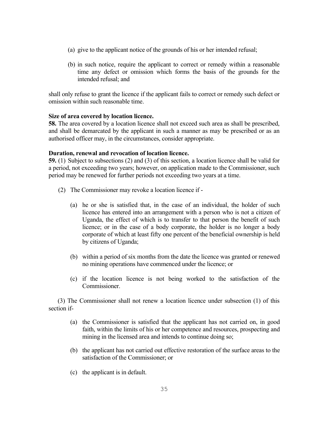- (a) give to the applicant notice of the grounds of his or her intended refusal;
- (b) in such notice, require the applicant to correct or remedy within a reasonable time any defect or omission which forms the basis of the grounds for the intended refusal; and

shall only refuse to grant the licence if the applicant fails to correct or remedy such defect or omission within such reasonable time.

# **Size of area covered by location licence.**

**58.** The area covered by a location licence shall not exceed such area as shall be prescribed, and shall be demarcated by the applicant in such a manner as may be prescribed or as an authorised officer may, in the circumstances, consider appropriate.

# **Duration, renewal and revocation of location licence.**

**59.** (1) Subject to subsections (2) and (3) of this section, a location licence shall be valid for a period, not exceeding two years; however, on application made to the Commissioner, such period may be renewed for further periods not exceeding two years at a time.

- (2) The Commissioner may revoke a location licence if
	- (a) he or she is satisfied that, in the case of an individual, the holder of such licence has entered into an arrangement with a person who is not a citizen of Uganda, the effect of which is to transfer to that person the benefit of such licence; or in the case of a body corporate, the holder is no longer a body corporate of which at least fifty one percent of the beneficial ownership is held by citizens of Uganda;
	- (b) within a period of six months from the date the licence was granted or renewed no mining operations have commenced under the licence; or
	- (c) if the location licence is not being worked to the satisfaction of the **Commissioner**

 (3) The Commissioner shall not renew a location licence under subsection (1) of this section if-

- (a) the Commissioner is satisfied that the applicant has not carried on, in good faith, within the limits of his or her competence and resources, prospecting and mining in the licensed area and intends to continue doing so;
- (b) the applicant has not carried out effective restoration of the surface areas to the satisfaction of the Commissioner; or
- (c) the applicant is in default.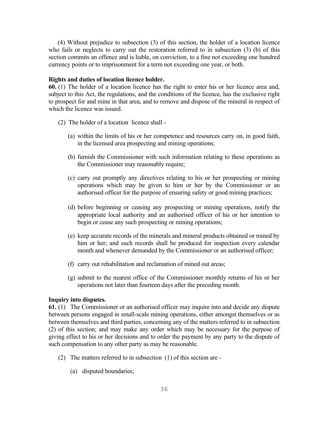(4) Without prejudice to subsection (3) of this section, the holder of a location licence who fails or neglects to carry out the restoration referred to in subsection (3) (b) of this section commits an offence and is liable, on conviction, to a fine not exceeding one hundred currency points or to imprisonment for a term not exceeding one year, or both.

#### **Rights and duties of location licence holder.**

**60.** (1) The holder of a location licence has the right to enter his or her licence area and, subject to this Act, the regulations, and the conditions of the licence, has the exclusive right to prospect for and mine in that area, and to remove and dispose of the mineral in respect of which the licence was issued.

- (2) The holder of a location licence shall
	- (a) within the limits of his or her competence and resources carry on, in good faith, in the licensed area prospecting and mining operations;
	- (b) furnish the Commissioner with such information relating to these operations as the Commissioner may reasonably require;
	- (c) carry out promptly any directives relating to his or her prospecting or mining operations which may be given to him or her by the Commissioner or an authorised officer for the purpose of ensuring safety or good mining practices;
	- (d) before beginning or ceasing any prospecting or mining operations, notify the appropriate local authority and an authorised officer of his or her intention to begin or cease any such prospecting or mining operations;
	- (e) keep accurate records of the minerals and mineral products obtained or mined by him or her; and such records shall be produced for inspection every calendar month and whenever demanded by the Commissioner or an authorised officer;
	- (f) carry out rehabilitation and reclamation of mined out areas;
	- (g) submit to the nearest office of the Commissioner monthly returns of his or her operations not later than fourteen days after the preceding month.

# **Inquiry into disputes.**

**61.** (1) The Commissioner or an authorised officer may inquire into and decide any dispute between persons engaged in small-scale mining operations, either amongst themselves or as between themselves and third parties, concerning any of the matters referred to in subsection (2) of this section; and may make any order which may be necessary for the purpose of giving effect to his or her decisions and to order the payment by any party to the dispute of such compensation to any other party as may be reasonable.

- (2) The matters referred to in subsection (1) of this section are
	- (a) disputed boundaries;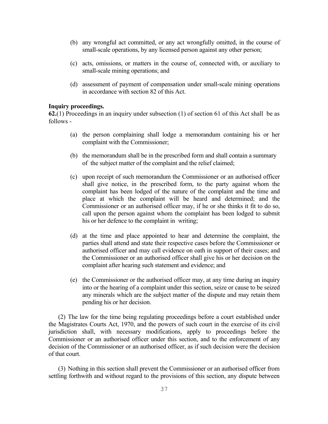- (b) any wrongful act committed, or any act wrongfully omitted, in the course of small-scale operations, by any licensed person against any other person;
- (c) acts, omissions, or matters in the course of, connected with, or auxiliary to small-scale mining operations; and
- (d) assessment of payment of compensation under small-scale mining operations in accordance with section 82 of this Act.

#### **Inquiry proceedings.**

**62.**(1) Proceedings in an inquiry under subsection (1) of section 61 of this Act shall be as follows -

- (a) the person complaining shall lodge a memorandum containing his or her complaint with the Commissioner;
- (b) the memorandum shall be in the prescribed form and shall contain a summary of the subject matter of the complaint and the relief claimed;
- (c) upon receipt of such memorandum the Commissioner or an authorised officer shall give notice, in the prescribed form, to the party against whom the complaint has been lodged of the nature of the complaint and the time and place at which the complaint will be heard and determined; and the Commissioner or an authorised officer may, if he or she thinks it fit to do so, call upon the person against whom the complaint has been lodged to submit his or her defence to the complaint in writing;
- (d) at the time and place appointed to hear and determine the complaint, the parties shall attend and state their respective cases before the Commissioner or authorised officer and may call evidence on oath in support of their cases; and the Commissioner or an authorised officer shall give his or her decision on the complaint after hearing such statement and evidence; and
- (e) the Commissioner or the authorised officer may, at any time during an inquiry into or the hearing of a complaint under this section, seize or cause to be seized any minerals which are the subject matter of the dispute and may retain them pending his or her decision.

(2) The law for the time being regulating proceedings before a court established under the Magistrates Courts Act, 1970, and the powers of such court in the exercise of its civil jurisdiction shall, with necessary modifications, apply to proceedings before the Commissioner or an authorised officer under this section, and to the enforcement of any decision of the Commissioner or an authorised officer, as if such decision were the decision of that court.

(3) Nothing in this section shall prevent the Commissioner or an authorised officer from settling forthwith and without regard to the provisions of this section, any dispute between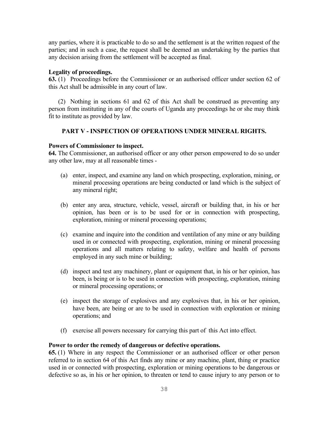any parties, where it is practicable to do so and the settlement is at the written request of the parties; and in such a case, the request shall be deemed an undertaking by the parties that any decision arising from the settlement will be accepted as final.

#### **Legality of proceedings.**

**63.** (1) Proceedings before the Commissioner or an authorised officer under section 62 of this Act shall be admissible in any court of law.

(2) Nothing in sections 61 and 62 of this Act shall be construed as preventing any person from instituting in any of the courts of Uganda any proceedings he or she may think fit to institute as provided by law.

# **PART V - INSPECTION OF OPERATIONS UNDER MINERAL RIGHTS.**

#### **Powers of Commissioner to inspect.**

**64.** The Commissioner, an authorised officer or any other person empowered to do so under any other law, may at all reasonable times -

- (a) enter, inspect, and examine any land on which prospecting, exploration, mining, or mineral processing operations are being conducted or land which is the subject of any mineral right;
- (b) enter any area, structure, vehicle, vessel, aircraft or building that, in his or her opinion, has been or is to be used for or in connection with prospecting, exploration, mining or mineral processing operations;
- (c) examine and inquire into the condition and ventilation of any mine or any building used in or connected with prospecting, exploration, mining or mineral processing operations and all matters relating to safety, welfare and health of persons employed in any such mine or building;
- (d) inspect and test any machinery, plant or equipment that, in his or her opinion, has been, is being or is to be used in connection with prospecting, exploration, mining or mineral processing operations; or
- (e) inspect the storage of explosives and any explosives that, in his or her opinion, have been, are being or are to be used in connection with exploration or mining operations; and
- (f) exercise all powers necessary for carrying this part of this Act into effect.

#### **Power to order the remedy of dangerous or defective operations.**

**65.** (1) Where in any respect the Commissioner or an authorised officer or other person referred to in section 64 of this Act finds any mine or any machine, plant, thing or practice used in or connected with prospecting, exploration or mining operations to be dangerous or defective so as, in his or her opinion, to threaten or tend to cause injury to any person or to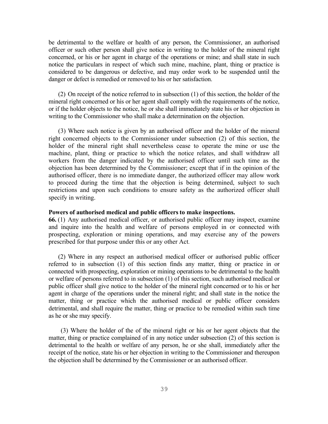be detrimental to the welfare or health of any person, the Commissioner, an authorised officer or such other person shall give notice in writing to the holder of the mineral right concerned, or his or her agent in charge of the operations or mine; and shall state in such notice the particulars in respect of which such mine, machine, plant, thing or practice is considered to be dangerous or defective, and may order work to be suspended until the danger or defect is remedied or removed to his or her satisfaction.

(2) On receipt of the notice referred to in subsection (1) of this section, the holder of the mineral right concerned or his or her agent shall comply with the requirements of the notice, or if the holder objects to the notice, he or she shall immediately state his or her objection in writing to the Commissioner who shall make a determination on the objection.

(3) Where such notice is given by an authorised officer and the holder of the mineral right concerned objects to the Commissioner under subsection (2) of this section, the holder of the mineral right shall nevertheless cease to operate the mine or use the machine, plant, thing or practice to which the notice relates, and shall withdraw all workers from the danger indicated by the authorised officer until such time as the objection has been determined by the Commissioner; except that if in the opinion of the authorised officer, there is no immediate danger, the authorized officer may allow work to proceed during the time that the objection is being determined, subject to such restrictions and upon such conditions to ensure safety as the authorized officer shall specify in writing.

#### Powers of authorised medical and public officers to make inspections.

**66.** (1) Any authorised medical officer, or authorised public officer may inspect, examine and inquire into the health and welfare of persons employed in or connected with prospecting, exploration or mining operations, and may exercise any of the powers prescribed for that purpose under this or any other Act.

(2) Where in any respect an authorised medical officer or authorised public officer referred to in subsection (1) of this section finds any matter, thing or practice in or connected with prospecting, exploration or mining operations to be detrimental to the health or welfare of persons referred to in subsection (1) of this section, such authorised medical or public officer shall give notice to the holder of the mineral right concerned or to his or her agent in charge of the operations under the mineral right; and shall state in the notice the matter, thing or practice which the authorised medical or public officer considers detrimental, and shall require the matter, thing or practice to be remedied within such time as he or she may specify.

 (3) Where the holder of the of the mineral right or his or her agent objects that the matter, thing or practice complained of in any notice under subsection (2) of this section is detrimental to the health or welfare of any person, he or she shall, immediately after the receipt of the notice, state his or her objection in writing to the Commissioner and thereupon the objection shall be determined by the Commissioner or an authorised officer.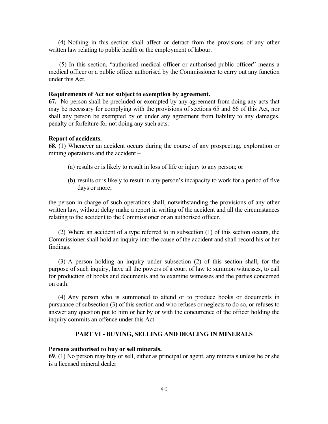(4) Nothing in this section shall affect or detract from the provisions of any other written law relating to public health or the employment of labour.

 (5) In this section, "authorised medical officer or authorised public officer" means a medical officer or a public officer authorised by the Commissioner to carry out any function under this Act.

#### **Requirements of Act not subject to exemption by agreement.**

**67.** No person shall be precluded or exempted by any agreement from doing any acts that may be necessary for complying with the provisions of sections 65 and 66 of this Act, nor shall any person be exempted by or under any agreement from liability to any damages, penalty or forfeiture for not doing any such acts.

#### **Report of accidents.**

**68.** (1) Whenever an accident occurs during the course of any prospecting, exploration or mining operations and the accident –

- (a) results or is likely to result in loss of life or injury to any person; or
- (b) results or is likely to result in any person's incapacity to work for a period of five days or more;

the person in charge of such operations shall, notwithstanding the provisions of any other written law, without delay make a report in writing of the accident and all the circumstances relating to the accident to the Commissioner or an authorised officer.

(2) Where an accident of a type referred to in subsection (1) of this section occurs, the Commissioner shall hold an inquiry into the cause of the accident and shall record his or her findings.

(3) A person holding an inquiry under subsection (2) of this section shall, for the purpose of such inquiry, have all the powers of a court of law to summon witnesses, to call for production of books and documents and to examine witnesses and the parties concerned on oath.

(4) Any person who is summoned to attend or to produce books or documents in pursuance of subsection (3) of this section and who refuses or neglects to do so, or refuses to answer any question put to him or her by or with the concurrence of the officer holding the inquiry commits an offence under this Act.

#### **PART VI - BUYING, SELLING AND DEALING IN MINERALS**

#### **Persons authorised to buy or sell minerals.**

**69**. (1) No person may buy or sell, either as principal or agent, any minerals unless he or she is a licensed mineral dealer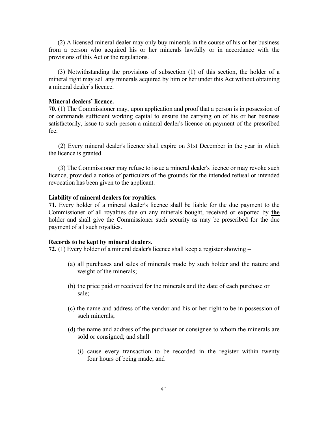(2) A licensed mineral dealer may only buy minerals in the course of his or her business from a person who acquired his or her minerals lawfully or in accordance with the provisions of this Act or the regulations.

 (3) Notwithstanding the provisions of subsection (1) of this section, the holder of a mineral right may sell any minerals acquired by him or her under this Act without obtaining a mineral dealer's licence.

#### **Mineral dealers' licence.**

**70.** (1) The Commissioner may, upon application and proof that a person is in possession of or commands sufficient working capital to ensure the carrying on of his or her business satisfactorily, issue to such person a mineral dealer's licence on payment of the prescribed fee.

(2) Every mineral dealer's licence shall expire on 31st December in the year in which the licence is granted.

(3) The Commissioner may refuse to issue a mineral dealer's licence or may revoke such licence, provided a notice of particulars of the grounds for the intended refusal or intended revocation has been given to the applicant.

#### **Liability of mineral dealers for royalties.**

**71.** Every holder of a mineral dealer's licence shall be liable for the due payment to the Commissioner of all royalties due on any minerals bought, received or exported by **the**  holder and shall give the Commissioner such security as may be prescribed for the due payment of all such royalties.

#### **Records to be kept by mineral dealers.**

**72.** (1) Every holder of a mineral dealer's licence shall keep a register showing –

- (a) all purchases and sales of minerals made by such holder and the nature and weight of the minerals;
- (b) the price paid or received for the minerals and the date of each purchase or sale;
- (c) the name and address of the vendor and his or her right to be in possession of such minerals;
- (d) the name and address of the purchaser or consignee to whom the minerals are sold or consigned; and shall –
	- (i) cause every transaction to be recorded in the register within twenty four hours of being made; and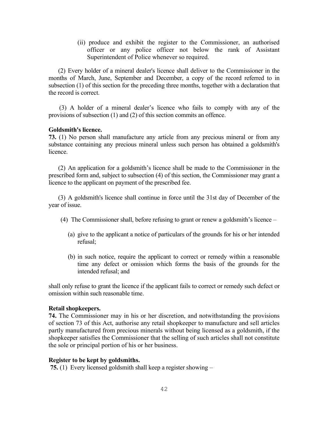(ii) produce and exhibit the register to the Commissioner, an authorised officer or any police officer not below the rank of Assistant Superintendent of Police whenever so required.

(2) Every holder of a mineral dealer's licence shall deliver to the Commissioner in the months of March, June, September and December, a copy of the record referred to in subsection (1) of this section for the preceding three months, together with a declaration that the record is correct.

(3) A holder of a mineral dealer's licence who fails to comply with any of the provisions of subsection (1) and (2) of this section commits an offence.

## **Goldsmith's licence.**

**73.** (1) No person shall manufacture any article from any precious mineral or from any substance containing any precious mineral unless such person has obtained a goldsmith's licence.

(2) An application for a goldsmith's licence shall be made to the Commissioner in the prescribed form and, subject to subsection (4) of this section, the Commissioner may grant a licence to the applicant on payment of the prescribed fee.

(3) A goldsmith's licence shall continue in force until the 31st day of December of the year of issue.

- (4) The Commissioner shall, before refusing to grant or renew a goldsmith's licence
	- (a) give to the applicant a notice of particulars of the grounds for his or her intended refusal;
	- (b) in such notice, require the applicant to correct or remedy within a reasonable time any defect or omission which forms the basis of the grounds for the intended refusal; and

shall only refuse to grant the licence if the applicant fails to correct or remedy such defect or omission within such reasonable time.

#### **Retail shopkeepers.**

**74.** The Commissioner may in his or her discretion, and notwithstanding the provisions of section 73 of this Act, authorise any retail shopkeeper to manufacture and sell articles partly manufactured from precious minerals without being licensed as a goldsmith, if the shopkeeper satisfies the Commissioner that the selling of such articles shall not constitute the sole or principal portion of his or her business.

#### **Register to be kept by goldsmiths.**

**75.** (1) Every licensed goldsmith shall keep a register showing –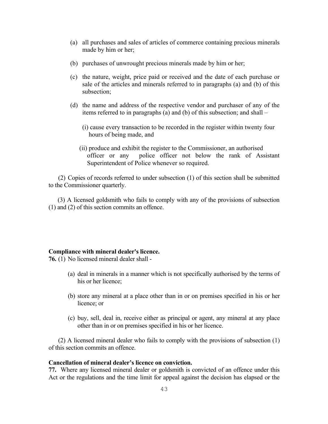- (a) all purchases and sales of articles of commerce containing precious minerals made by him or her;
- (b) purchases of unwrought precious minerals made by him or her;
- (c) the nature, weight, price paid or received and the date of each purchase or sale of the articles and minerals referred to in paragraphs (a) and (b) of this subsection;
- (d) the name and address of the respective vendor and purchaser of any of the items referred to in paragraphs (a) and (b) of this subsection; and shall –
	- (i) cause every transaction to be recorded in the register within twenty four hours of being made, and
	- (ii) produce and exhibit the register to the Commissioner, an authorised officer or any police officer not below the rank of Assistant Superintendent of Police whenever so required.

(2) Copies of records referred to under subsection (1) of this section shall be submitted to the Commissioner quarterly.

 (3) A licensed goldsmith who fails to comply with any of the provisions of subsection (1) and (2) of this section commits an offence.

## **Compliance with mineral dealer's licence.**

**76.** (1) No licensed mineral dealer shall -

- (a) deal in minerals in a manner which is not specifically authorised by the terms of his or her licence;
- (b) store any mineral at a place other than in or on premises specified in his or her licence; or
- (c) buy, sell, deal in, receive either as principal or agent, any mineral at any place other than in or on premises specified in his or her licence.

(2) A licensed mineral dealer who fails to comply with the provisions of subsection (1) of this section commits an offence.

# **Cancellation of mineral dealer's licence on conviction.**

**77.** Where any licensed mineral dealer or goldsmith is convicted of an offence under this Act or the regulations and the time limit for appeal against the decision has elapsed or the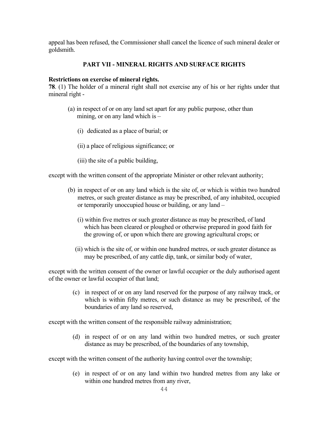appeal has been refused, the Commissioner shall cancel the licence of such mineral dealer or goldsmith.

# **PART VII - MINERAL RIGHTS AND SURFACE RIGHTS**

# **Restrictions on exercise of mineral rights.**

**78**. (1) The holder of a mineral right shall not exercise any of his or her rights under that mineral right -

- (a) in respect of or on any land set apart for any public purpose, other than mining, or on any land which is –
	- (i) dedicated as a place of burial; or
	- (ii) a place of religious significance; or
	- (iii) the site of a public building,

except with the written consent of the appropriate Minister or other relevant authority;

- (b) in respect of or on any land which is the site of, or which is within two hundred metres, or such greater distance as may be prescribed, of any inhabited, occupied or temporarily unoccupied house or building, or any land –
	- (i) within five metres or such greater distance as may be prescribed, of land which has been cleared or ploughed or otherwise prepared in good faith for the growing of, or upon which there are growing agricultural crops; or
	- (ii) which is the site of, or within one hundred metres, or such greater distance as may be prescribed, of any cattle dip, tank, or similar body of water,

except with the written consent of the owner or lawful occupier or the duly authorised agent of the owner or lawful occupier of that land;

> (c) in respect of or on any land reserved for the purpose of any railway track, or which is within fifty metres, or such distance as may be prescribed, of the boundaries of any land so reserved,

except with the written consent of the responsible railway administration;

(d) in respect of or on any land within two hundred metres, or such greater distance as may be prescribed, of the boundaries of any township,

except with the written consent of the authority having control over the township;

(e) in respect of or on any land within two hundred metres from any lake or within one hundred metres from any river,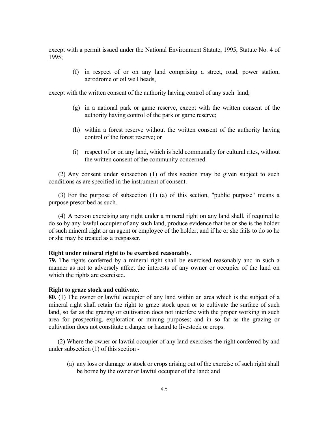except with a permit issued under the National Environment Statute, 1995, Statute No. 4 of 1995;

> (f) in respect of or on any land comprising a street, road, power station, aerodrome or oil well heads,

except with the written consent of the authority having control of any such land;

- (g) in a national park or game reserve, except with the written consent of the authority having control of the park or game reserve;
- (h) within a forest reserve without the written consent of the authority having control of the forest reserve; or
- (i) respect of or on any land, which is held communally for cultural rites, without the written consent of the community concerned.

(2) Any consent under subsection (1) of this section may be given subject to such conditions as are specified in the instrument of consent.

(3) For the purpose of subsection (1) (a) of this section, "public purpose" means a purpose prescribed as such.

(4) A person exercising any right under a mineral right on any land shall, if required to do so by any lawful occupier of any such land, produce evidence that he or she is the holder of such mineral right or an agent or employee of the holder; and if he or she fails to do so he or she may be treated as a trespasser.

#### **Right under mineral right to be exercised reasonably.**

**79.** The rights conferred by a mineral right shall be exercised reasonably and in such a manner as not to adversely affect the interests of any owner or occupier of the land on which the rights are exercised.

#### **Right to graze stock and cultivate.**

**80.** (1) The owner or lawful occupier of any land within an area which is the subject of a mineral right shall retain the right to graze stock upon or to cultivate the surface of such land, so far as the grazing or cultivation does not interfere with the proper working in such area for prospecting, exploration or mining purposes; and in so far as the grazing or cultivation does not constitute a danger or hazard to livestock or crops.

 (2) Where the owner or lawful occupier of any land exercises the right conferred by and under subsection (1) of this section -

(a) any loss or damage to stock or crops arising out of the exercise of such right shall be borne by the owner or lawful occupier of the land; and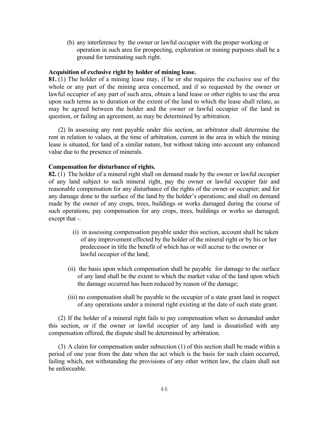(b) any interference by the owner or lawful occupier with the proper working or operation in such area for prospecting, exploration or mining purposes shall be a ground for terminating such right.

## **Acquisition of exclusive right by holder of mining lease.**

**81.** (1) The holder of a mining lease may, if he or she requires the exclusive use of the whole or any part of the mining area concerned, and if so requested by the owner or lawful occupier of any part of such area, obtain a land lease or other rights to use the area upon such terms as to duration or the extent of the land to which the lease shall relate, as may be agreed between the holder and the owner or lawful occupier of the land in question, or failing an agreement, as may be determined by arbitration.

(2) In assessing any rent payable under this section, an arbitrator shall determine the rent in relation to values, at the time of arbitration, current in the area in which the mining lease is situated, for land of a similar nature, but without taking into account any enhanced value due to the presence of minerals.

#### **Compensation for disturbance of rights.**

**82.** (1) The holder of a mineral right shall on demand made by the owner or lawful occupier of any land subject to such mineral right, pay the owner or lawful occupier fair and reasonable compensation for any disturbance of the rights of the owner or occupier; and for any damage done to the surface of the land by the holder's operations; and shall on demand made by the owner of any crops, trees, buildings or works damaged during the course of such operations, pay compensation for any crops, trees, buildings or works so damaged; except that -.

- (i) in assessing compensation payable under this section, account shall be taken of any improvement effected by the holder of the mineral right or by his or her predecessor in title the benefit of which has or will accrue to the owner or lawful occupier of the land;
- (ii) the basis upon which compensation shall be payable for damage to the surface of any land shall be the extent to which the market value of the land upon which the damage occurred has been reduced by reason of the damage;
- (iii) no compensation shall be payable to the occupier of a state grant land in respect of any operations under a mineral right existing at the date of such state grant.

(2) If the holder of a mineral right fails to pay compensation when so demanded under this section, or if the owner or lawful occupier of any land is dissatisfied with any compensation offered, the dispute shall be determined by arbitration.

(3) A claim for compensation under subsection (1) of this section shall be made within a period of one year from the date when the act which is the basis for such claim occurred, failing which, not withstanding the provisions of any other written law, the claim shall not be enforceable.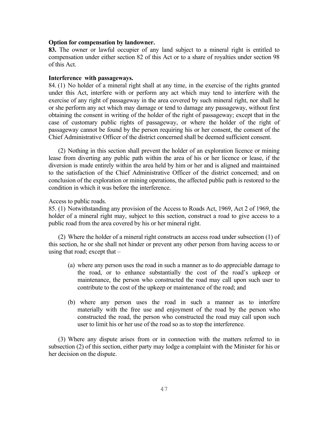#### **Option for compensation by landowner.**

**83.** The owner or lawful occupier of any land subject to a mineral right is entitled to compensation under either section 82 of this Act or to a share of royalties under section 98 of this Act.

## **Interference with passageways.**

84. (1) No holder of a mineral right shall at any time, in the exercise of the rights granted under this Act, interfere with or perform any act which may tend to interfere with the exercise of any right of passageway in the area covered by such mineral right, nor shall he or she perform any act which may damage or tend to damage any passageway, without first obtaining the consent in writing of the holder of the right of passageway; except that in the case of customary public rights of passageway, or where the holder of the right of passageway cannot be found by the person requiring his or her consent, the consent of the Chief Administrative Officer of the district concerned shall be deemed sufficient consent.

(2) Nothing in this section shall prevent the holder of an exploration licence or mining lease from diverting any public path within the area of his or her licence or lease, if the diversion is made entirely within the area held by him or her and is aligned and maintained to the satisfaction of the Chief Administrative Officer of the district concerned; and on conclusion of the exploration or mining operations, the affected public path is restored to the condition in which it was before the interference.

Access to public roads.

85. (1) Notwithstanding any provision of the Access to Roads Act, 1969, Act 2 of 1969, the holder of a mineral right may, subject to this section, construct a road to give access to a public road from the area covered by his or her mineral right.

(2) Where the holder of a mineral right constructs an access road under subsection (1) of this section, he or she shall not hinder or prevent any other person from having access to or using that road; except that –

- (a) where any person uses the road in such a manner as to do appreciable damage to the road, or to enhance substantially the cost of the road's upkeep or maintenance, the person who constructed the road may call upon such user to contribute to the cost of the upkeep or maintenance of the road; and
- (b) where any person uses the road in such a manner as to interfere materially with the free use and enjoyment of the road by the person who constructed the road, the person who constructed the road may call upon such user to limit his or her use of the road so as to stop the interference.

(3) Where any dispute arises from or in connection with the matters referred to in subsection (2) of this section, either party may lodge a complaint with the Minister for his or her decision on the dispute.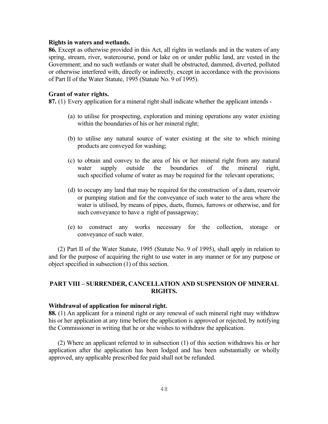#### **Rights in waters and wetlands.**

**86.** Except as otherwise provided in this Act, all rights in wetlands and in the waters of any spring, stream, river, watercourse, pond or lake on or under public land, are vested in the Government; and no such wetlands or water shall be obstructed, dammed, diverted, polluted or otherwise interfered with, directly or indirectly, except in accordance with the provisions of Part II of the Water Statute, 1995 (Statute No. 9 of 1995).

#### **Grant of water rights.**

**87.** (1) Every application for a mineral right shall indicate whether the applicant intends -

- (a) to utilise for prospecting, exploration and mining operations any water existing within the boundaries of his or her mineral right;
- (b) to utilise any natural source of water existing at the site to which mining products are conveyed for washing;
- (c) to obtain and convey to the area of his or her mineral right from any natural water supply outside the boundaries of the mineral right, such specified volume of water as may be required for the relevant operations;
- (d) to occupy any land that may be required for the construction of a dam, reservoir or pumping station and for the conveyance of such water to the area where the water is utilised, by means of pipes, duets, flumes, furrows or otherwise, and for such conveyance to have a right of passageway;
- (e) to construct any works necessary for the collection, storage or conveyance of such water.

 (2) Part II of the Water Statute, 1995 (Statute No. 9 of 1995), shall apply in relation to and for the purpose of acquiring the right to use water in any manner or for any purpose or object specified in subsection (1) of this section.

# **PART VIII – SURRENDER, CANCELLATION AND SUSPENSION OF MINERAL RIGHTS.**

#### **Withdrawal of application for mineral right.**

**88.** (1) An applicant for a mineral right or any renewal of such mineral right may withdraw his or her application at any time before the application is approved or rejected, by notifying the Commissioner in writing that he or she wishes to withdraw the application.

(2) Where an applicant referred to in subsection (1) of this section withdraws his or her application after the application has been lodged and has been substantially or wholly approved, any applicable prescribed fee paid shall not be refunded.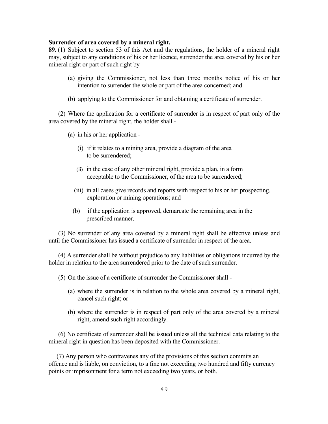#### **Surrender of area covered by a mineral right.**

**89.** (1)Subject to section 53 of this Act and the regulations, the holder of a mineral right may, subject to any conditions of his or her licence, surrender the area covered by his or her mineral right or part of such right by -

- (a) giving the Commissioner, not less than three months notice of his or her intention to surrender the whole or part of the area concerned; and
- (b) applying to the Commissioner for and obtaining a certificate of surrender.

(2) Where the application for a certificate of surrender is in respect of part only of the area covered by the mineral right, the holder shall -

- (a) in his or her application
	- (i) if it relates to a mining area, provide a diagram of the area to be surrendered;
	- (ii) in the case of any other mineral right, provide a plan, in a form acceptable to the Commissioner, of the area to be surrendered;
	- (iii) in all cases give records and reports with respect to his or her prospecting, exploration or mining operations; and
	- (b) if the application is approved, demarcate the remaining area in the prescribed manner.

(3) No surrender of any area covered by a mineral right shall be effective unless and until the Commissioner has issued a certificate of surrender in respect of the area.

(4) A surrender shall be without prejudice to any liabilities or obligations incurred by the holder in relation to the area surrendered prior to the date of such surrender.

(5) On the issue of a certificate of surrender the Commissioner shall -

- (a) where the surrender is in relation to the whole area covered by a mineral right, cancel such right; or
- (b) where the surrender is in respect of part only of the area covered by a mineral right, amend such right accordingly.

(6) No certificate of surrender shall be issued unless all the technical data relating to the mineral right in question has been deposited with the Commissioner.

(7) Any person who contravenes any of the provisions of this section commits an offence and is liable, on conviction, to a fine not exceeding two hundred and fifty currency points or imprisonment for a term not exceeding two years, or both.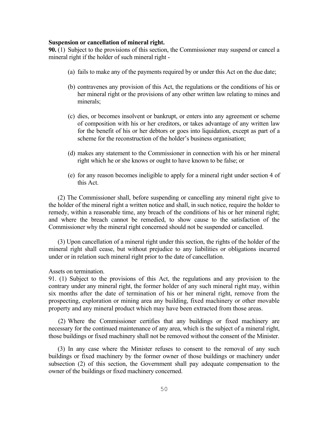#### **Suspension or cancellation of mineral right.**

**90.** (1) Subject to the provisions of this section, the Commissioner may suspend or cancel a mineral right if the holder of such mineral right -

- (a) fails to make any of the payments required by or under this Act on the due date;
- (b) contravenes any provision of this Act, the regulations or the conditions of his or her mineral right or the provisions of any other written law relating to mines and minerals;
- (c) dies, or becomes insolvent or bankrupt, or enters into any agreement or scheme of composition with his or her creditors, or takes advantage of any written law for the benefit of his or her debtors or goes into liquidation, except as part of a scheme for the reconstruction of the holder's business organisation;
- (d) makes any statement to the Commissioner in connection with his or her mineral right which he or she knows or ought to have known to be false; or
- (e) for any reason becomes ineligible to apply for a mineral right under section 4 of this Act.

 (2) The Commissioner shall, before suspending or cancelling any mineral right give to the holder of the mineral right a written notice and shall, in such notice, require the holder to remedy, within a reasonable time, any breach of the conditions of his or her mineral right; and where the breach cannot be remedied, to show cause to the satisfaction of the Commissioner why the mineral right concerned should not be suspended or cancelled.

 (3) Upon cancellation of a mineral right under this section, the rights of the holder of the mineral right shall cease, but without prejudice to any liabilities or obligations incurred under or in relation such mineral right prior to the date of cancellation.

Assets on termination.

91. (1) Subject to the provisions of this Act, the regulations and any provision to the contrary under any mineral right, the former holder of any such mineral right may, within six months after the date of termination of his or her mineral right, remove from the prospecting, exploration or mining area any building, fixed machinery or other movable property and any mineral product which may have been extracted from those areas.

(2) Where the Commissioner certifies that any buildings or fixed machinery are necessary for the continued maintenance of any area, which is the subject of a mineral right, those buildings or fixed machinery shall not be removed without the consent of the Minister.

 (3) In any case where the Minister refuses to consent to the removal of any such buildings or fixed machinery by the former owner of those buildings or machinery under subsection (2) of this section, the Government shall pay adequate compensation to the owner of the buildings or fixed machinery concerned.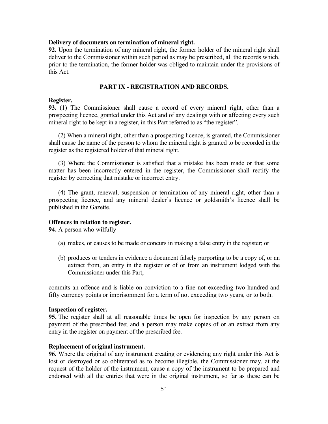#### **Delivery of documents on termination of mineral right.**

**92.** Upon the termination of any mineral right, the former holder of the mineral right shall deliver to the Commissioner within such period as may be prescribed, all the records which, prior to the termination, the former holder was obliged to maintain under the provisions of this Act.

## **PART IX - REGISTRATION AND RECORDS.**

#### **Register.**

**93.** (1) The Commissioner shall cause a record of every mineral right, other than a prospecting licence, granted under this Act and of any dealings with or affecting every such mineral right to be kept in a register, in this Part referred to as "the register".

(2) When a mineral right, other than a prospecting licence, is granted, the Commissioner shall cause the name of the person to whom the mineral right is granted to be recorded in the register as the registered holder of that mineral right.

(3) Where the Commissioner is satisfied that a mistake has been made or that some matter has been incorrectly entered in the register, the Commissioner shall rectify the register by correcting that mistake or incorrect entry.

(4) The grant, renewal, suspension or termination of any mineral right, other than a prospecting licence, and any mineral dealer's licence or goldsmith's licence shall be published in the Gazette.

#### **Offences in relation to register.**

**94.** A person who wilfully –

- (a) makes, or causes to be made or concurs in making a false entry in the register; or
- (b) produces or tenders in evidence a document falsely purporting to be a copy of, or an extract from, an entry in the register or of or from an instrument lodged with the Commissioner under this Part,

commits an offence and is liable on conviction to a fine not exceeding two hundred and fifty currency points or imprisonment for a term of not exceeding two years, or to both.

#### **Inspection of register.**

**95.** The register shall at all reasonable times be open for inspection by any person on payment of the prescribed fee; and a person may make copies of or an extract from any entry in the register on payment of the prescribed fee.

#### **Replacement of original instrument.**

**96.** Where the original of any instrument creating or evidencing any right under this Act is lost or destroyed or so obliterated as to become illegible, the Commissioner may, at the request of the holder of the instrument, cause a copy of the instrument to be prepared and endorsed with all the entries that were in the original instrument, so far as these can be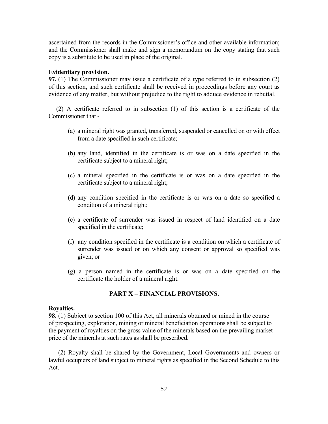ascertained from the records in the Commissioner's office and other available information; and the Commissioner shall make and sign a memorandum on the copy stating that such copy is a substitute to be used in place of the original.

#### **Evidentiary provision.**

**97.** (1) The Commissioner may issue a certificate of a type referred to in subsection (2) of this section, and such certificate shall be received in proceedings before any court as evidence of any matter, but without prejudice to the right to adduce evidence in rebuttal.

 (2) A certificate referred to in subsection (1) of this section is a certificate of the Commissioner that -

- (a) a mineral right was granted, transferred, suspended or cancelled on or with effect from a date specified in such certificate;
- (b) any land, identified in the certificate is or was on a date specified in the certificate subject to a mineral right;
- (c) a mineral specified in the certificate is or was on a date specified in the certificate subject to a mineral right;
- (d) any condition specified in the certificate is or was on a date so specified a condition of a mineral right;
- (e) a certificate of surrender was issued in respect of land identified on a date specified in the certificate;
- (f) any condition specified in the certificate is a condition on which a certificate of surrender was issued or on which any consent or approval so specified was given; or
- (g) a person named in the certificate is or was on a date specified on the certificate the holder of a mineral right.

#### **PART X – FINANCIAL PROVISIONS.**

#### **Royalties.**

**98.** (1) Subject to section 100 of this Act, all minerals obtained or mined in the course of prospecting, exploration, mining or mineral beneficiation operations shall be subject to the payment of royalties on the gross value of the minerals based on the prevailing market price of the minerals at such rates as shall be prescribed.

(2) Royalty shall be shared by the Government, Local Governments and owners or lawful occupiers of land subject to mineral rights as specified in the Second Schedule to this Act.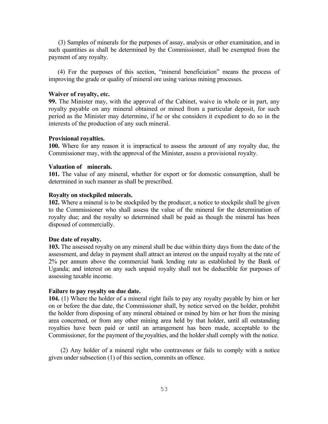(3) Samples of minerals for the purposes of assay, analysis or other examination, and in such quantities as shall be determined by the Commissioner, shall be exempted from the payment of any royalty.

 (4) For the purposes of this section, "mineral beneficiation" means the process of improving the grade or quality of mineral ore using various mining processes.

#### **Waiver of royalty, etc.**

**99.** The Minister may, with the approval of the Cabinet, waive in whole or in part, any royalty payable on any mineral obtained or mined from a particular deposit, for such period as the Minister may determine, if he or she considers it expedient to do so in the interests of the production of any such mineral.

#### **Provisional royalties.**

**100.** Where for any reason it is impractical to assess the amount of any royalty due, the Commissioner may, with the approval of the Minister, assess a provisional royalty.

# **Valuation of minerals.**

**101.** The value of any mineral, whether for export or for domestic consumption, shall be determined in such manner as shall be prescribed.

#### **Royalty on stockpiled minerals.**

**102.** Where a mineral is to be stockpiled by the producer, a notice to stockpile shall be given to the Commissioner who shall assess the value of the mineral for the determination of royalty due; and the royalty so determined shall be paid as though the mineral has been disposed of commercially.

#### **Due date of royalty.**

**103.** The assessed royalty on any mineral shall be due within thirty days from the date of the assessment, and delay in payment shall attract an interest on the unpaid royalty at the rate of 2% per annum above the commercial bank lending rate as established by the Bank of Uganda; and interest on any such unpaid royalty shall not be deductible for purposes of assessing taxable income.

#### **Failure to pay royalty on due date.**

**104.** (1) Where the holder of a mineral right fails to pay any royalty payable by him or her on or before the due date, the Commissioner shall, by notice served on the holder, prohibit the holder from disposing of any mineral obtained or mined by him or her from the mining area concerned, or from any other mining area held by that holder, until all outstanding royalties have been paid or until an arrangement has been made, acceptable to the Commissioner, for the payment of the royalties, and the holder shall comply with the notice.

(2) Any holder of a mineral right who contravenes or fails to comply with a notice given under subsection (1) of this section, commits an offence.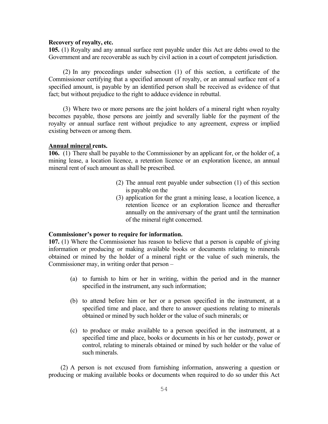# **Recovery of royalty, etc.**

**105.** (1) Royalty and any annual surface rent payable under this Act are debts owed to the Government and are recoverable as such by civil action in a court of competent jurisdiction.

(2) In any proceedings under subsection (1) of this section, a certificate of the Commissioner certifying that a specified amount of royalty, or an annual surface rent of a specified amount, is payable by an identified person shall be received as evidence of that fact; but without prejudice to the right to adduce evidence in rebuttal.

(3) Where two or more persons are the joint holders of a mineral right when royalty becomes payable, those persons are jointly and severally liable for the payment of the royalty or annual surface rent without prejudice to any agreement, express or implied existing between or among them.

#### **Annual mineral rents.**

**106.** (1) There shall be payable to the Commissioner by an applicant for, or the holder of, a mining lease, a location licence, a retention licence or an exploration licence, an annual mineral rent of such amount as shall be prescribed.

- (2) The annual rent payable under subsection (1) of this section is payable on the
- (3) application for the grant a mining lease, a location licence, a retention licence or an exploration licence and thereafter annually on the anniversary of the grant until the termination of the mineral right concerned.

#### **Commissioner's power to require for information.**

**107.** (1) Where the Commissioner has reason to believe that a person is capable of giving information or producing or making available books or documents relating to minerals obtained or mined by the holder of a mineral right or the value of such minerals, the Commissioner may, in writing order that person –

- (a) to furnish to him or her in writing, within the period and in the manner specified in the instrument, any such information;
- (b) to attend before him or her or a person specified in the instrument, at a specified time and place, and there to answer questions relating to minerals obtained or mined by such holder or the value of such minerals; or
- (c) to produce or make available to a person specified in the instrument, at a specified time and place, books or documents in his or her custody, power or control, relating to minerals obtained or mined by such holder or the value of such minerals.

(2) A person is not excused from furnishing information, answering a question or producing or making available books or documents when required to do so under this Act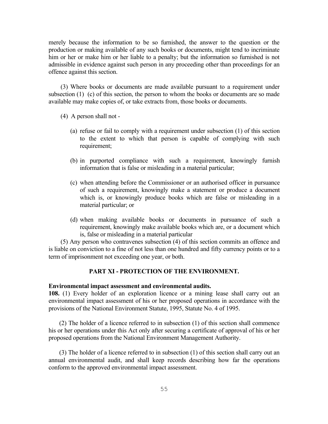merely because the information to be so furnished, the answer to the question or the production or making available of any such books or documents, might tend to incriminate him or her or make him or her liable to a penalty; but the information so furnished is not admissible in evidence against such person in any proceeding other than proceedings for an offence against this section.

(3) Where books or documents are made available pursuant to a requirement under subsection (1) (c) of this section, the person to whom the books or documents are so made available may make copies of, or take extracts from, those books or documents.

- (4) A person shall not
	- (a) refuse or fail to comply with a requirement under subsection (1) of this section to the extent to which that person is capable of complying with such requirement;
	- (b) in purported compliance with such a requirement, knowingly furnish information that is false or misleading in a material particular;
	- (c) when attending before the Commissioner or an authorised officer in pursuance of such a requirement, knowingly make a statement or produce a document which is, or knowingly produce books which are false or misleading in a material particular; or
	- (d) when making available books or documents in pursuance of such a requirement, knowingly make available books which are, or a document which is, false or misleading in a material particular

(5) Any person who contravenes subsection (4) of this section commits an offence and is liable on conviction to a fine of not less than one hundred and fifty currency points or to a term of imprisonment not exceeding one year, or both.

# **PART XI - PROTECTION OF THE ENVIRONMENT.**

#### **Environmental impact assessment and environmental audits.**

**108.** (1) Every holder of an exploration licence or a mining lease shall carry out an environmental impact assessment of his or her proposed operations in accordance with the provisions of the National Environment Statute, 1995, Statute No. 4 of 1995.

 (2) The holder of a licence referred to in subsection (1) of this section shall commence his or her operations under this Act only after securing a certificate of approval of his or her proposed operations from the National Environment Management Authority.

 (3) The holder of a licence referred to in subsection (1) of this section shall carry out an annual environmental audit, and shall keep records describing how far the operations conform to the approved environmental impact assessment.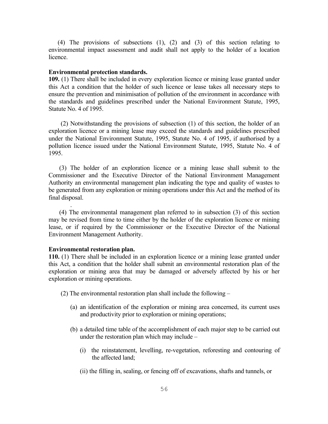(4) The provisions of subsections (1), (2) and (3) of this section relating to environmental impact assessment and audit shall not apply to the holder of a location licence.

#### **Environmental protection standards.**

**109.** (1) There shall be included in every exploration licence or mining lease granted under this Act a condition that the holder of such licence or lease takes all necessary steps to ensure the prevention and minimisation of pollution of the environment in accordance with the standards and guidelines prescribed under the National Environment Statute, 1995, Statute No. 4 of 1995.

 (2) Notwithstanding the provisions of subsection (1) of this section, the holder of an exploration licence or a mining lease may exceed the standards and guidelines prescribed under the National Environment Statute, 1995, Statute No. 4 of 1995, if authorised by a pollution licence issued under the National Environment Statute, 1995, Statute No. 4 of 1995.

 (3) The holder of an exploration licence or a mining lease shall submit to the Commissioner and the Executive Director of the National Environment Management Authority an environmental management plan indicating the type and quality of wastes to be generated from any exploration or mining operations under this Act and the method of its final disposal.

 (4) The environmental management plan referred to in subsection (3) of this section may be revised from time to time either by the holder of the exploration licence or mining lease, or if required by the Commissioner or the Executive Director of the National Environment Management Authority.

#### **Environmental restoration plan.**

.

**110.** (1) There shall be included in an exploration licence or a mining lease granted under this Act, a condition that the holder shall submit an environmental restoration plan of the exploration or mining area that may be damaged or adversely affected by his or her exploration or mining operations.

(2) The environmental restoration plan shall include the following –

- (a) an identification of the exploration or mining area concerned, its current uses and productivity prior to exploration or mining operations;
- (b) a detailed time table of the accomplishment of each major step to be carried out under the restoration plan which may include –
	- (i) the reinstatement, levelling, re-vegetation, reforesting and contouring of the affected land;
	- (ii) the filling in, sealing, or fencing off of excavations, shafts and tunnels, or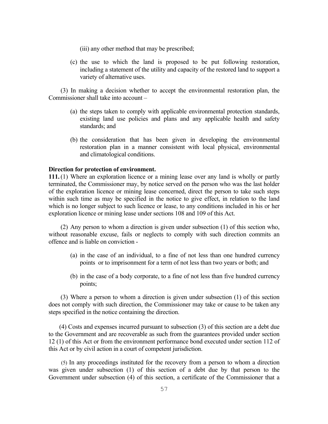- (iii) any other method that may be prescribed;
- (c) the use to which the land is proposed to be put following restoration, including a statement of the utility and capacity of the restored land to support a variety of alternative uses.

(3) In making a decision whether to accept the environmental restoration plan, the Commissioner shall take into account –

- (a) the steps taken to comply with applicable environmental protection standards, existing land use policies and plans and any applicable health and safety standards; and
- (b) the consideration that has been given in developing the environmental restoration plan in a manner consistent with local physical, environmental and climatological conditions.

#### **Direction for protection of environment.**

**111.** (1) Where an exploration licence or a mining lease over any land is wholly or partly terminated, the Commissioner may, by notice served on the person who was the last holder of the exploration licence or mining lease concerned, direct the person to take such steps within such time as may be specified in the notice to give effect, in relation to the land which is no longer subject to such licence or lease, to any conditions included in his or her exploration licence or mining lease under sections 108 and 109 of this Act.

(2) Any person to whom a direction is given under subsection (1) of this section who, without reasonable excuse, fails or neglects to comply with such direction commits an offence and is liable on conviction -

- (a) in the case of an individual, to a fine of not less than one hundred currency points or to imprisonment for a term of not less than two years or both; and
- (b) in the case of a body corporate, to a fine of not less than five hundred currency points;

(3) Where a person to whom a direction is given under subsection (1) of this section does not comply with such direction, the Commissioner may take or cause to be taken any steps specified in the notice containing the direction.

 (4) Costs and expenses incurred pursuant to subsection (3) of this section are a debt due to the Government and are recoverable as such from the guarantees provided under section 12 (1) of this Act or from the environment performance bond executed under section 112 of this Act or by civil action in a court of competent jurisdiction.

 (5) In any proceedings instituted for the recovery from a person to whom a direction was given under subsection (1) of this section of a debt due by that person to the Government under subsection (4) of this section, a certificate of the Commissioner that a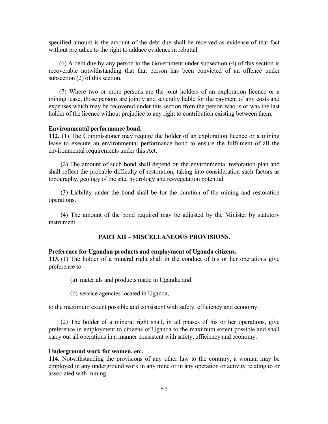specified amount is the amount of the debt due shall be received as evidence of that fact without prejudice to the right to adduce evidence in rebuttal.

 (6) A debt due by any person to the Government under subsection (4) of this section is recoverable notwithstanding that that person has been convicted of an offence under subsection (2) of this section.

 (7) Where two or more persons are the joint holders of an exploration licence or a mining lease, those persons are jointly and severally liable for the payment of any costs and expenses which may be recovered under this section from the person who is or was the last holder of the licence without prejudice to any right to contribution existing between them.

#### **Environmental performance bond.**

**112.** (1) The Commissioner may require the holder of an exploration licence or a mining lease to execute an environmental performance bond to ensure the fulfilment of all the environmental requirements under this Act.

(2) The amount of such bond shall depend on the environmental restoration plan and shall reflect the probable difficulty of restoration, taking into consideration such factors as topography, geology of the site, hydrology and re-vegetation potential.

(3) Liability under the bond shall be for the duration of the mining and restoration operations.

(4) The amount of the bond required may be adjusted by the Minister by statutory instrument.

## **PART XII – MISCELLANEOUS PROVISIONS.**

#### **Preference for Ugandan products and employment of Uganda citizens.**

**113.** (1) The holder of a mineral right shall in the conduct of his or her operations give preference to -

- (a) materials and products made in Uganda; and
- (b) service agencies located in Uganda,

to the maximum extent possible and consistent with safety, efficiency and economy.

(2) The holder of a mineral right shall, in all phases of his or her operations, give preference in employment to citizens of Uganda to the maximum extent possible and shall carry out all operations in a manner consistent with safety, efficiency and economy.

#### **Underground work for women, etc.**

**114.** Notwithstanding the provisions of any other law to the contrary, a woman may be employed in any underground work in any mine or in any operation or activity relating to or associated with mining.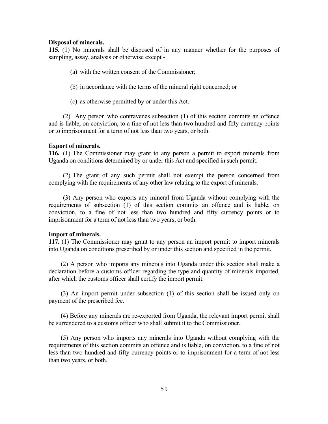#### **Disposal of minerals.**

**115.** (1) No minerals shall be disposed of in any manner whether for the purposes of sampling, assay, analysis or otherwise except -

- (a) with the written consent of the Commissioner;
- (b) in accordance with the terms of the mineral right concerned; or
- (c) as otherwise permitted by or under this Act.

(2) Any person who contravenes subsection (1) of this section commits an offence and is liable, on conviction, to a fine of not less than two hundred and fifty currency points or to imprisonment for a term of not less than two years, or both.

#### **Export of minerals.**

**116.** (1) The Commissioner may grant to any person a permit to export minerals from Uganda on conditions determined by or under this Act and specified in such permit.

(2) The grant of any such permit shall not exempt the person concerned from complying with the requirements of any other law relating to the export of minerals.

(3) Any person who exports any mineral from Uganda without complying with the requirements of subsection (1) of this section commits an offence and is liable, on conviction, to a fine of not less than two hundred and fifty currency points or to imprisonment for a term of not less than two years, or both.

#### **Import of minerals.**

**117.** (1) The Commissioner may grant to any person an import permit to import minerals into Uganda on conditions prescribed by or under this section and specified in the permit.

 (2) A person who imports any minerals into Uganda under this section shall make a declaration before a customs officer regarding the type and quantity of minerals imported, after which the customs officer shall certify the import permit.

 (3) An import permit under subsection (1) of this section shall be issued only on payment of the prescribed fee.

 (4) Before any minerals are re-exported from Uganda, the relevant import permit shall be surrendered to a customs officer who shall submit it to the Commissioner.

 (5) Any person who imports any minerals into Uganda without complying with the requirements of this section commits an offence and is liable, on conviction, to a fine of not less than two hundred and fifty currency points or to imprisonment for a term of not less than two years, or both.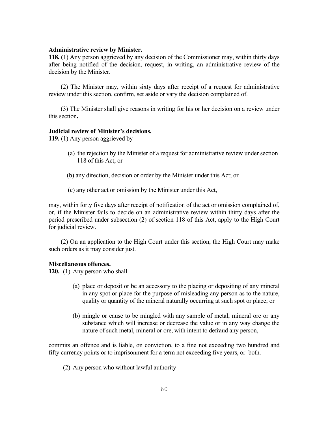#### **Administrative review by Minister.**

**118. (**1) Any person aggrieved by any decision of the Commissioner may, within thirty days after being notified of the decision, request, in writing, an administrative review of the decision by the Minister.

 (2) The Minister may, within sixty days after receipt of a request for administrative review under this section, confirm, set aside or vary the decision complained of.

 (3) The Minister shall give reasons in writing for his or her decision on a review under this section**.**

#### **Judicial review of Minister's decisions.**

**119.** (1) Any person aggrieved by -

- (a) the rejection by the Minister of a request for administrative review under section 118 of this Act; or
- (b) any direction, decision or order by the Minister under this Act; or
- (c) any other act or omission by the Minister under this Act,

may, within forty five days after receipt of notification of the act or omission complained of, or, if the Minister fails to decide on an administrative review within thirty days after the period prescribed under subsection (2) of section 118 of this Act, apply to the High Court for judicial review.

 (2) On an application to the High Court under this section, the High Court may make such orders as it may consider just.

#### **Miscellaneous offences.**

**120.** (1) Any person who shall -

- (a) place or deposit or be an accessory to the placing or depositing of any mineral in any spot or place for the purpose of misleading any person as to the nature, quality or quantity of the mineral naturally occurring at such spot or place; or
- (b) mingle or cause to be mingled with any sample of metal, mineral ore or any substance which will increase or decrease the value or in any way change the nature of such metal, mineral or ore, with intent to defraud any person,

commits an offence and is liable, on conviction, to a fine not exceeding two hundred and fifty currency points or to imprisonment for a term not exceeding five years, or both.

(2) Any person who without lawful authority –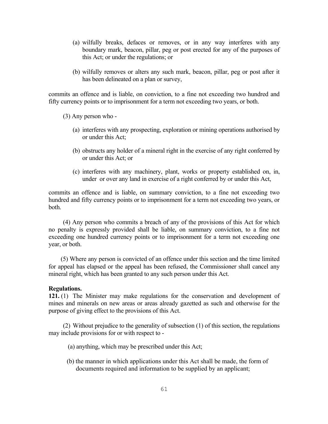- (a) wilfully breaks, defaces or removes, or in any way interferes with any boundary mark, beacon, pillar, peg or post erected for any of the purposes of this Act; or under the regulations; or
- (b) wilfully removes or alters any such mark, beacon, pillar, peg or post after it has been delineated on a plan or survey,

commits an offence and is liable, on conviction, to a fine not exceeding two hundred and fifty currency points or to imprisonment for a term not exceeding two years, or both.

(3) Any person who -

- (a) interferes with any prospecting, exploration or mining operations authorised by or under this Act;
- (b) obstructs any holder of a mineral right in the exercise of any right conferred by or under this Act; or
- (c) interferes with any machinery, plant, works or property established on, in, under or over any land in exercise of a right conferred by or under this Act,

commits an offence and is liable, on summary conviction, to a fine not exceeding two hundred and fifty currency points or to imprisonment for a term not exceeding two years, or both.

(4) Any person who commits a breach of any of the provisions of this Act for which no penalty is expressly provided shall be liable, on summary conviction, to a fine not exceeding one hundred currency points or to imprisonment for a term not exceeding one year, or both.

 (5) Where any person is convicted of an offence under this section and the time limited for appeal has elapsed or the appeal has been refused, the Commissioner shall cancel any mineral right, which has been granted to any such person under this Act.

#### **Regulations.**

**121.** (1) The Minister may make regulations for the conservation and development of mines and minerals on new areas or areas already gazetted as such and otherwise for the purpose of giving effect to the provisions of this Act.

(2) Without prejudice to the generality of subsection (1) of this section, the regulations may include provisions for or with respect to -

(a) anything, which may be prescribed under this Act;

 (b) the manner in which applications under this Act shall be made, the form of documents required and information to be supplied by an applicant;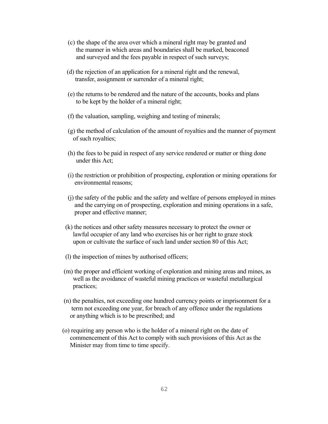- (c) the shape of the area over which a mineral right may be granted and the manner in which areas and boundaries shall be marked, beaconed and surveyed and the fees payable in respect of such surveys;
- (d) the rejection of an application for a mineral right and the renewal, transfer, assignment or surrender of a mineral right;
- (e) the returns to be rendered and the nature of the accounts, books and plans to be kept by the holder of a mineral right;
- (f) the valuation, sampling, weighing and testing of minerals;
- (g) the method of calculation of the amount of royalties and the manner of payment of such royalties;
- (h) the fees to be paid in respect of any service rendered or matter or thing done under this Act;
- (i) the restriction or prohibition of prospecting, exploration or mining operations for environmental reasons;
- (j) the safety of the public and the safety and welfare of persons employed in mines and the carrying on of prospecting, exploration and mining operations in a safe, proper and effective manner;
- (k) the notices and other safety measures necessary to protect the owner or lawful occupier of any land who exercises his or her right to graze stock upon or cultivate the surface of such land under section 80 of this Act;
- (l) the inspection of mines by authorised officers;
- (m) the proper and efficient working of exploration and mining areas and mines, as well as the avoidance of wasteful mining practices or wasteful metallurgical practices;
- (n) the penalties, not exceeding one hundred currency points or imprisonment for a term not exceeding one year, for breach of any offence under the regulations or anything which is to be prescribed; and
- (o) requiring any person who is the holder of a mineral right on the date of commencement of this Act to comply with such provisions of this Act as the Minister may from time to time specify.